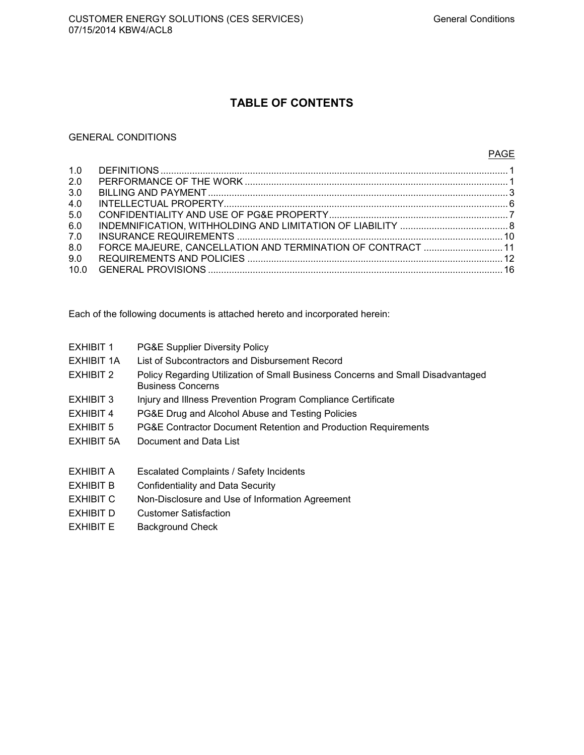### **TABLE OF CONTENTS**

### GENERAL CONDITIONS

| 1.0<br>2.0<br>3.0<br>4.0<br>5.0<br>6.0<br>7.0<br>8.0<br>9.0 | FORCE MAJEURE, CANCELLATION AND TERMINATION OF CONTRACT  11 |  |
|-------------------------------------------------------------|-------------------------------------------------------------|--|
| 10.0                                                        |                                                             |  |
|                                                             |                                                             |  |

Each of the following documents is attached hereto and incorporated herein:

| EXHIBIT 1 | PG&E Supplier Diversity Policy |
|-----------|--------------------------------|
|-----------|--------------------------------|

- EXHIBIT 1A List of Subcontractors and Disbursement Record
- EXHIBIT 2 Policy Regarding Utilization of Small Business Concerns and Small Disadvantaged Business Concerns
- EXHIBIT 3 Injury and Illness Prevention Program Compliance Certificate
- EXHIBIT 4 PG&E Drug and Alcohol Abuse and Testing Policies
- EXHIBIT 5 PG&E Contractor Document Retention and Production Requirements
- EXHIBIT 5A Document and Data List
- EXHIBIT A Escalated Complaints / Safety Incidents
- EXHIBIT B Confidentiality and Data Security
- EXHIBIT C Non-Disclosure and Use of Information Agreement
- EXHIBIT D Customer Satisfaction
- EXHIBIT E Background Check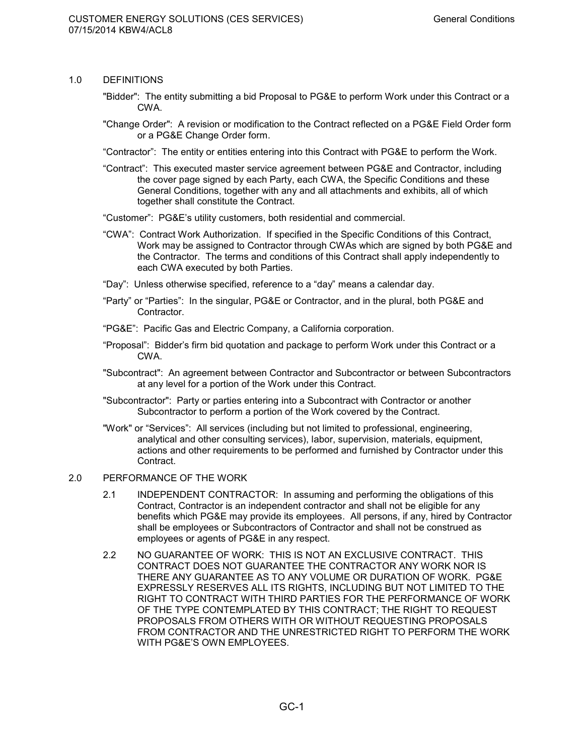### 1.0 DEFINITIONS

- "Bidder": The entity submitting a bid Proposal to PG&E to perform Work under this Contract or a CWA.
- "Change Order": A revision or modification to the Contract reflected on a PG&E Field Order form or a PG&E Change Order form.
- "Contractor": The entity or entities entering into this Contract with PG&E to perform the Work.
- "Contract": This executed master service agreement between PG&E and Contractor, including the cover page signed by each Party, each CWA, the Specific Conditions and these General Conditions, together with any and all attachments and exhibits, all of which together shall constitute the Contract.
- "Customer": PG&E's utility customers, both residential and commercial.
- "CWA": Contract Work Authorization. If specified in the Specific Conditions of this Contract, Work may be assigned to Contractor through CWAs which are signed by both PG&E and the Contractor. The terms and conditions of this Contract shall apply independently to each CWA executed by both Parties.
- "Day": Unless otherwise specified, reference to a "day" means a calendar day.
- "Party" or "Parties": In the singular, PG&E or Contractor, and in the plural, both PG&E and Contractor.
- "PG&E": Pacific Gas and Electric Company, a California corporation.
- "Proposal": Bidder's firm bid quotation and package to perform Work under this Contract or a CWA.
- "Subcontract": An agreement between Contractor and Subcontractor or between Subcontractors at any level for a portion of the Work under this Contract.
- "Subcontractor": Party or parties entering into a Subcontract with Contractor or another Subcontractor to perform a portion of the Work covered by the Contract.
- "Work" or "Services": All services (including but not limited to professional, engineering, analytical and other consulting services), labor, supervision, materials, equipment, actions and other requirements to be performed and furnished by Contractor under this Contract.

### 2.0 PERFORMANCE OF THE WORK

- 2.1 INDEPENDENT CONTRACTOR: In assuming and performing the obligations of this Contract, Contractor is an independent contractor and shall not be eligible for any benefits which PG&E may provide its employees. All persons, if any, hired by Contractor shall be employees or Subcontractors of Contractor and shall not be construed as employees or agents of PG&E in any respect.
- 2.2 NO GUARANTEE OF WORK: THIS IS NOT AN EXCLUSIVE CONTRACT. THIS CONTRACT DOES NOT GUARANTEE THE CONTRACTOR ANY WORK NOR IS THERE ANY GUARANTEE AS TO ANY VOLUME OR DURATION OF WORK. PG&E EXPRESSLY RESERVES ALL ITS RIGHTS, INCLUDING BUT NOT LIMITED TO THE RIGHT TO CONTRACT WITH THIRD PARTIES FOR THE PERFORMANCE OF WORK OF THE TYPE CONTEMPLATED BY THIS CONTRACT; THE RIGHT TO REQUEST PROPOSALS FROM OTHERS WITH OR WITHOUT REQUESTING PROPOSALS FROM CONTRACTOR AND THE UNRESTRICTED RIGHT TO PERFORM THE WORK WITH PG&E'S OWN EMPLOYEES.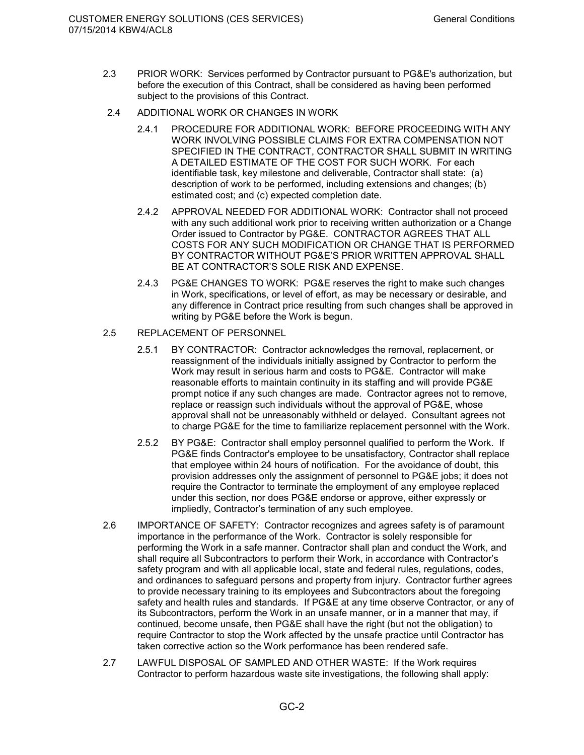- 2.3 PRIOR WORK: Services performed by Contractor pursuant to PG&E's authorization, but before the execution of this Contract, shall be considered as having been performed subject to the provisions of this Contract.
- 2.4 ADDITIONAL WORK OR CHANGES IN WORK
	- 2.4.1 PROCEDURE FOR ADDITIONAL WORK: BEFORE PROCEEDING WITH ANY WORK INVOLVING POSSIBLE CLAIMS FOR EXTRA COMPENSATION NOT SPECIFIED IN THE CONTRACT, CONTRACTOR SHALL SUBMIT IN WRITING A DETAILED ESTIMATE OF THE COST FOR SUCH WORK. For each identifiable task, key milestone and deliverable, Contractor shall state: (a) description of work to be performed, including extensions and changes; (b) estimated cost; and (c) expected completion date.
	- 2.4.2 APPROVAL NEEDED FOR ADDITIONAL WORK: Contractor shall not proceed with any such additional work prior to receiving written authorization or a Change Order issued to Contractor by PG&E. CONTRACTOR AGREES THAT ALL COSTS FOR ANY SUCH MODIFICATION OR CHANGE THAT IS PERFORMED BY CONTRACTOR WITHOUT PG&E'S PRIOR WRITTEN APPROVAL SHALL BE AT CONTRACTOR'S SOLE RISK AND EXPENSE.
	- 2.4.3 PG&E CHANGES TO WORK: PG&E reserves the right to make such changes in Work, specifications, or level of effort, as may be necessary or desirable, and any difference in Contract price resulting from such changes shall be approved in writing by PG&E before the Work is begun.

### 2.5 REPLACEMENT OF PERSONNEL

- 2.5.1 BY CONTRACTOR: Contractor acknowledges the removal, replacement, or reassignment of the individuals initially assigned by Contractor to perform the Work may result in serious harm and costs to PG&E. Contractor will make reasonable efforts to maintain continuity in its staffing and will provide PG&E prompt notice if any such changes are made. Contractor agrees not to remove, replace or reassign such individuals without the approval of PG&E, whose approval shall not be unreasonably withheld or delayed. Consultant agrees not to charge PG&E for the time to familiarize replacement personnel with the Work.
- 2.5.2 BY PG&E: Contractor shall employ personnel qualified to perform the Work. If PG&E finds Contractor's employee to be unsatisfactory, Contractor shall replace that employee within 24 hours of notification. For the avoidance of doubt, this provision addresses only the assignment of personnel to PG&E jobs; it does not require the Contractor to terminate the employment of any employee replaced under this section, nor does PG&E endorse or approve, either expressly or impliedly, Contractor's termination of any such employee.
- 2.6 IMPORTANCE OF SAFETY: Contractor recognizes and agrees safety is of paramount importance in the performance of the Work. Contractor is solely responsible for performing the Work in a safe manner. Contractor shall plan and conduct the Work, and shall require all Subcontractors to perform their Work, in accordance with Contractor's safety program and with all applicable local, state and federal rules, regulations, codes, and ordinances to safeguard persons and property from injury. Contractor further agrees to provide necessary training to its employees and Subcontractors about the foregoing safety and health rules and standards. If PG&E at any time observe Contractor, or any of its Subcontractors, perform the Work in an unsafe manner, or in a manner that may, if continued, become unsafe, then PG&E shall have the right (but not the obligation) to require Contractor to stop the Work affected by the unsafe practice until Contractor has taken corrective action so the Work performance has been rendered safe.
- 2.7 LAWFUL DISPOSAL OF SAMPLED AND OTHER WASTE: If the Work requires Contractor to perform hazardous waste site investigations, the following shall apply: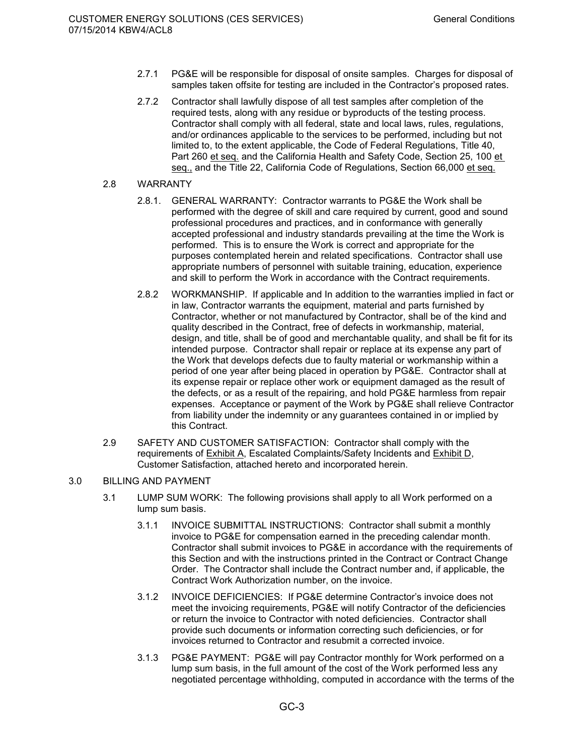- 2.7.1 PG&E will be responsible for disposal of onsite samples. Charges for disposal of samples taken offsite for testing are included in the Contractor's proposed rates.
- 2.7.2 Contractor shall lawfully dispose of all test samples after completion of the required tests, along with any residue or byproducts of the testing process. Contractor shall comply with all federal, state and local laws, rules, regulations, and/or ordinances applicable to the services to be performed, including but not limited to, to the extent applicable, the Code of Federal Regulations, Title 40, Part 260 et seq. and the California Health and Safety Code, Section 25, 100 et seq., and the Title 22, California Code of Regulations, Section 66,000 et seq.
- 2.8 WARRANTY
	- 2.8.1. GENERAL WARRANTY: Contractor warrants to PG&E the Work shall be performed with the degree of skill and care required by current, good and sound professional procedures and practices, and in conformance with generally accepted professional and industry standards prevailing at the time the Work is performed. This is to ensure the Work is correct and appropriate for the purposes contemplated herein and related specifications. Contractor shall use appropriate numbers of personnel with suitable training, education, experience and skill to perform the Work in accordance with the Contract requirements.
	- 2.8.2 WORKMANSHIP. If applicable and In addition to the warranties implied in fact or in law, Contractor warrants the equipment, material and parts furnished by Contractor, whether or not manufactured by Contractor, shall be of the kind and quality described in the Contract, free of defects in workmanship, material, design, and title, shall be of good and merchantable quality, and shall be fit for its intended purpose. Contractor shall repair or replace at its expense any part of the Work that develops defects due to faulty material or workmanship within a period of one year after being placed in operation by PG&E. Contractor shall at its expense repair or replace other work or equipment damaged as the result of the defects, or as a result of the repairing, and hold PG&E harmless from repair expenses. Acceptance or payment of the Work by PG&E shall relieve Contractor from liability under the indemnity or any guarantees contained in or implied by this Contract.
- 2.9 SAFETY AND CUSTOMER SATISFACTION: Contractor shall comply with the requirements of Exhibit A, Escalated Complaints/Safety Incidents and Exhibit D, Customer Satisfaction, attached hereto and incorporated herein.
- 3.0 BILLING AND PAYMENT
	- 3.1 LUMP SUM WORK: The following provisions shall apply to all Work performed on a lump sum basis.
		- 3.1.1 INVOICE SUBMITTAL INSTRUCTIONS: Contractor shall submit a monthly invoice to PG&E for compensation earned in the preceding calendar month. Contractor shall submit invoices to PG&E in accordance with the requirements of this Section and with the instructions printed in the Contract or Contract Change Order. The Contractor shall include the Contract number and, if applicable, the Contract Work Authorization number, on the invoice.
		- 3.1.2 INVOICE DEFICIENCIES: If PG&E determine Contractor's invoice does not meet the invoicing requirements, PG&E will notify Contractor of the deficiencies or return the invoice to Contractor with noted deficiencies. Contractor shall provide such documents or information correcting such deficiencies, or for invoices returned to Contractor and resubmit a corrected invoice.
		- 3.1.3 PG&E PAYMENT: PG&E will pay Contractor monthly for Work performed on a lump sum basis, in the full amount of the cost of the Work performed less any negotiated percentage withholding, computed in accordance with the terms of the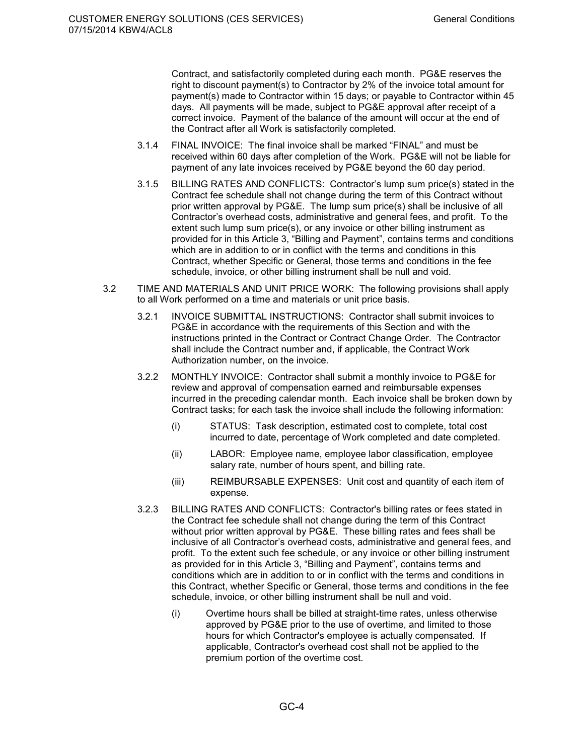Contract, and satisfactorily completed during each month. PG&E reserves the right to discount payment(s) to Contractor by 2% of the invoice total amount for payment(s) made to Contractor within 15 days; or payable to Contractor within 45 days. All payments will be made, subject to PG&E approval after receipt of a correct invoice. Payment of the balance of the amount will occur at the end of the Contract after all Work is satisfactorily completed.

- 3.1.4 FINAL INVOICE: The final invoice shall be marked "FINAL" and must be received within 60 days after completion of the Work. PG&E will not be liable for payment of any late invoices received by PG&E beyond the 60 day period.
- 3.1.5 BILLING RATES AND CONFLICTS: Contractor's lump sum price(s) stated in the Contract fee schedule shall not change during the term of this Contract without prior written approval by PG&E. The lump sum price(s) shall be inclusive of all Contractor's overhead costs, administrative and general fees, and profit. To the extent such lump sum price(s), or any invoice or other billing instrument as provided for in this Article 3, "Billing and Payment", contains terms and conditions which are in addition to or in conflict with the terms and conditions in this Contract, whether Specific or General, those terms and conditions in the fee schedule, invoice, or other billing instrument shall be null and void.
- 3.2 TIME AND MATERIALS AND UNIT PRICE WORK: The following provisions shall apply to all Work performed on a time and materials or unit price basis.
	- 3.2.1 INVOICE SUBMITTAL INSTRUCTIONS: Contractor shall submit invoices to PG&E in accordance with the requirements of this Section and with the instructions printed in the Contract or Contract Change Order. The Contractor shall include the Contract number and, if applicable, the Contract Work Authorization number, on the invoice.
	- 3.2.2 MONTHLY INVOICE: Contractor shall submit a monthly invoice to PG&E for review and approval of compensation earned and reimbursable expenses incurred in the preceding calendar month. Each invoice shall be broken down by Contract tasks; for each task the invoice shall include the following information:
		- (i) STATUS: Task description, estimated cost to complete, total cost incurred to date, percentage of Work completed and date completed.
		- (ii) LABOR: Employee name, employee labor classification, employee salary rate, number of hours spent, and billing rate.
		- (iii) REIMBURSABLE EXPENSES: Unit cost and quantity of each item of expense.
	- 3.2.3 BILLING RATES AND CONFLICTS: Contractor's billing rates or fees stated in the Contract fee schedule shall not change during the term of this Contract without prior written approval by PG&E. These billing rates and fees shall be inclusive of all Contractor's overhead costs, administrative and general fees, and profit. To the extent such fee schedule, or any invoice or other billing instrument as provided for in this Article 3, "Billing and Payment", contains terms and conditions which are in addition to or in conflict with the terms and conditions in this Contract, whether Specific or General, those terms and conditions in the fee schedule, invoice, or other billing instrument shall be null and void.
		- (i) Overtime hours shall be billed at straight-time rates, unless otherwise approved by PG&E prior to the use of overtime, and limited to those hours for which Contractor's employee is actually compensated. If applicable, Contractor's overhead cost shall not be applied to the premium portion of the overtime cost.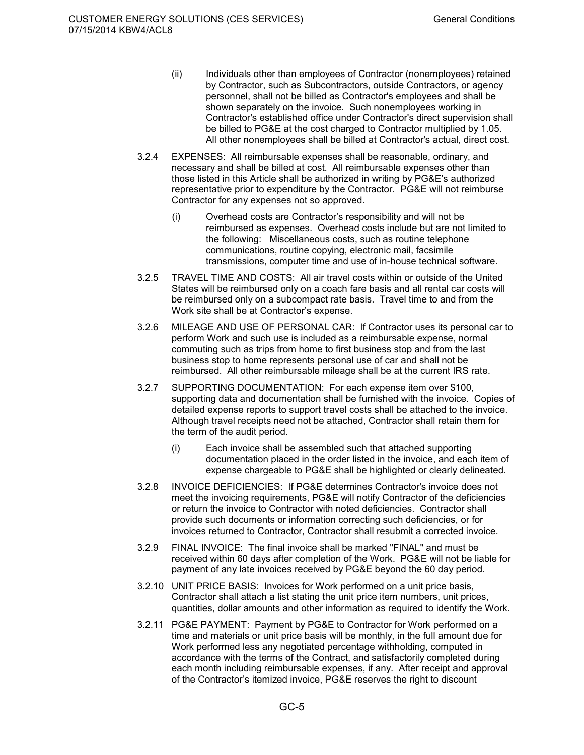- (ii) Individuals other than employees of Contractor (nonemployees) retained by Contractor, such as Subcontractors, outside Contractors, or agency personnel, shall not be billed as Contractor's employees and shall be shown separately on the invoice. Such nonemployees working in Contractor's established office under Contractor's direct supervision shall be billed to PG&E at the cost charged to Contractor multiplied by 1.05. All other nonemployees shall be billed at Contractor's actual, direct cost.
- 3.2.4 EXPENSES: All reimbursable expenses shall be reasonable, ordinary, and necessary and shall be billed at cost. All reimbursable expenses other than those listed in this Article shall be authorized in writing by PG&E's authorized representative prior to expenditure by the Contractor. PG&E will not reimburse Contractor for any expenses not so approved.
	- (i) Overhead costs are Contractor's responsibility and will not be reimbursed as expenses. Overhead costs include but are not limited to the following: Miscellaneous costs, such as routine telephone communications, routine copying, electronic mail, facsimile transmissions, computer time and use of in-house technical software.
- 3.2.5 TRAVEL TIME AND COSTS: All air travel costs within or outside of the United States will be reimbursed only on a coach fare basis and all rental car costs will be reimbursed only on a subcompact rate basis. Travel time to and from the Work site shall be at Contractor's expense.
- 3.2.6 MILEAGE AND USE OF PERSONAL CAR: If Contractor uses its personal car to perform Work and such use is included as a reimbursable expense, normal commuting such as trips from home to first business stop and from the last business stop to home represents personal use of car and shall not be reimbursed. All other reimbursable mileage shall be at the current IRS rate.
- 3.2.7 SUPPORTING DOCUMENTATION: For each expense item over \$100, supporting data and documentation shall be furnished with the invoice. Copies of detailed expense reports to support travel costs shall be attached to the invoice. Although travel receipts need not be attached, Contractor shall retain them for the term of the audit period.
	- (i) Each invoice shall be assembled such that attached supporting documentation placed in the order listed in the invoice, and each item of expense chargeable to PG&E shall be highlighted or clearly delineated.
- 3.2.8 INVOICE DEFICIENCIES: If PG&E determines Contractor's invoice does not meet the invoicing requirements, PG&E will notify Contractor of the deficiencies or return the invoice to Contractor with noted deficiencies. Contractor shall provide such documents or information correcting such deficiencies, or for invoices returned to Contractor, Contractor shall resubmit a corrected invoice.
- 3.2.9 FINAL INVOICE: The final invoice shall be marked "FINAL" and must be received within 60 days after completion of the Work. PG&E will not be liable for payment of any late invoices received by PG&E beyond the 60 day period.
- 3.2.10 UNIT PRICE BASIS: Invoices for Work performed on a unit price basis, Contractor shall attach a list stating the unit price item numbers, unit prices, quantities, dollar amounts and other information as required to identify the Work.
- 3.2.11 PG&E PAYMENT: Payment by PG&E to Contractor for Work performed on a time and materials or unit price basis will be monthly, in the full amount due for Work performed less any negotiated percentage withholding, computed in accordance with the terms of the Contract, and satisfactorily completed during each month including reimbursable expenses, if any. After receipt and approval of the Contractor's itemized invoice, PG&E reserves the right to discount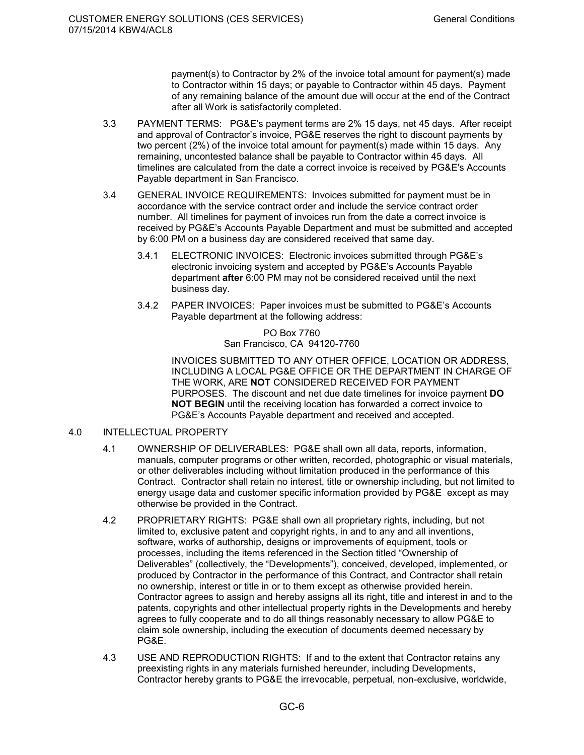payment(s) to Contractor by 2% of the invoice total amount for payment(s) made to Contractor within 15 days; or payable to Contractor within 45 days. Payment of any remaining balance of the amount due will occur at the end of the Contract after all Work is satisfactorily completed.

- 3.3 PAYMENT TERMS: PG&E's payment terms are 2% 15 days, net 45 days. After receipt and approval of Contractor's invoice, PG&E reserves the right to discount payments by two percent (2%) of the invoice total amount for payment(s) made within 15 days. Any remaining, uncontested balance shall be payable to Contractor within 45 days. All timelines are calculated from the date a correct invoice is received by PG&E's Accounts Payable department in San Francisco.
- 3.4 GENERAL INVOICE REQUIREMENTS: Invoices submitted for payment must be in accordance with the service contract order and include the service contract order number. All timelines for payment of invoices run from the date a correct invoice is received by PG&E's Accounts Payable Department and must be submitted and accepted by 6:00 PM on a business day are considered received that same day.
	- 3.4.1 ELECTRONIC INVOICES: Electronic invoices submitted through PG&E's electronic invoicing system and accepted by PG&E's Accounts Payable department **after** 6:00 PM may not be considered received until the next business day.
	- 3.4.2 PAPER INVOICES: Paper invoices must be submitted to PG&E's Accounts Payable department at the following address:

PO Box 7760 San Francisco, CA 94120-7760

INVOICES SUBMITTED TO ANY OTHER OFFICE, LOCATION OR ADDRESS, INCLUDING A LOCAL PG&E OFFICE OR THE DEPARTMENT IN CHARGE OF THE WORK, ARE **NOT** CONSIDERED RECEIVED FOR PAYMENT PURPOSES. The discount and net due date timelines for invoice payment **DO NOT BEGIN** until the receiving location has forwarded a correct invoice to PG&E's Accounts Payable department and received and accepted.

### 4.0 INTELLECTUAL PROPERTY

- 4.1 OWNERSHIP OF DELIVERABLES: PG&E shall own all data, reports, information, manuals, computer programs or other written, recorded, photographic or visual materials, or other deliverables including without limitation produced in the performance of this Contract. Contractor shall retain no interest, title or ownership including, but not limited to energy usage data and customer specific information provided by PG&E except as may otherwise be provided in the Contract.
- 4.2 PROPRIETARY RIGHTS: PG&E shall own all proprietary rights, including, but not limited to, exclusive patent and copyright rights, in and to any and all inventions, software, works of authorship, designs or improvements of equipment, tools or processes, including the items referenced in the Section titled "Ownership of Deliverables" (collectively, the "Developments"), conceived, developed, implemented, or produced by Contractor in the performance of this Contract, and Contractor shall retain no ownership, interest or title in or to them except as otherwise provided herein. Contractor agrees to assign and hereby assigns all its right, title and interest in and to the patents, copyrights and other intellectual property rights in the Developments and hereby agrees to fully cooperate and to do all things reasonably necessary to allow PG&E to claim sole ownership, including the execution of documents deemed necessary by PG&E.
- 4.3 USE AND REPRODUCTION RIGHTS: If and to the extent that Contractor retains any preexisting rights in any materials furnished hereunder, including Developments, Contractor hereby grants to PG&E the irrevocable, perpetual, non-exclusive, worldwide,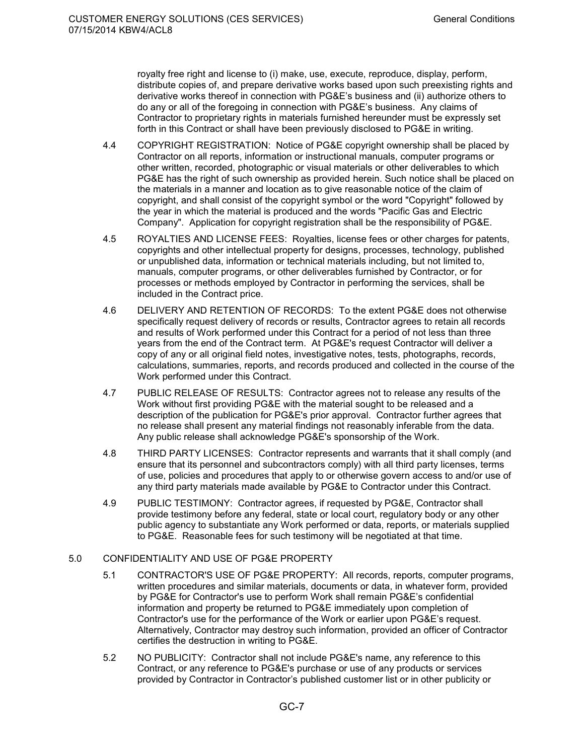royalty free right and license to (i) make, use, execute, reproduce, display, perform, distribute copies of, and prepare derivative works based upon such preexisting rights and derivative works thereof in connection with PG&E's business and (ii) authorize others to do any or all of the foregoing in connection with PG&E's business. Any claims of Contractor to proprietary rights in materials furnished hereunder must be expressly set forth in this Contract or shall have been previously disclosed to PG&E in writing.

- 4.4 COPYRIGHT REGISTRATION: Notice of PG&E copyright ownership shall be placed by Contractor on all reports, information or instructional manuals, computer programs or other written, recorded, photographic or visual materials or other deliverables to which PG&E has the right of such ownership as provided herein. Such notice shall be placed on the materials in a manner and location as to give reasonable notice of the claim of copyright, and shall consist of the copyright symbol or the word "Copyright" followed by the year in which the material is produced and the words "Pacific Gas and Electric Company". Application for copyright registration shall be the responsibility of PG&E.
- 4.5 ROYALTIES AND LICENSE FEES: Royalties, license fees or other charges for patents, copyrights and other intellectual property for designs, processes, technology, published or unpublished data, information or technical materials including, but not limited to, manuals, computer programs, or other deliverables furnished by Contractor, or for processes or methods employed by Contractor in performing the services, shall be included in the Contract price.
- 4.6 DELIVERY AND RETENTION OF RECORDS: To the extent PG&E does not otherwise specifically request delivery of records or results, Contractor agrees to retain all records and results of Work performed under this Contract for a period of not less than three years from the end of the Contract term. At PG&E's request Contractor will deliver a copy of any or all original field notes, investigative notes, tests, photographs, records, calculations, summaries, reports, and records produced and collected in the course of the Work performed under this Contract.
- 4.7 PUBLIC RELEASE OF RESULTS: Contractor agrees not to release any results of the Work without first providing PG&E with the material sought to be released and a description of the publication for PG&E's prior approval. Contractor further agrees that no release shall present any material findings not reasonably inferable from the data. Any public release shall acknowledge PG&E's sponsorship of the Work.
- 4.8 THIRD PARTY LICENSES:Contractor represents and warrants that it shall comply (and ensure that its personnel and subcontractors comply) with all third party licenses, terms of use, policies and procedures that apply to or otherwise govern access to and/or use of any third party materials made available by PG&E to Contractor under this Contract.
- 4.9 PUBLIC TESTIMONY: Contractor agrees, if requested by PG&E, Contractor shall provide testimony before any federal, state or local court, regulatory body or any other public agency to substantiate any Work performed or data, reports, or materials supplied to PG&E. Reasonable fees for such testimony will be negotiated at that time.

### 5.0 CONFIDENTIALITY AND USE OF PG&E PROPERTY

- 5.1 CONTRACTOR'S USE OF PG&E PROPERTY: All records, reports, computer programs, written procedures and similar materials, documents or data, in whatever form, provided by PG&E for Contractor's use to perform Work shall remain PG&E's confidential information and property be returned to PG&E immediately upon completion of Contractor's use for the performance of the Work or earlier upon PG&E's request. Alternatively, Contractor may destroy such information, provided an officer of Contractor certifies the destruction in writing to PG&E.
- 5.2 NO PUBLICITY: Contractor shall not include PG&E's name, any reference to this Contract, or any reference to PG&E's purchase or use of any products or services provided by Contractor in Contractor's published customer list or in other publicity or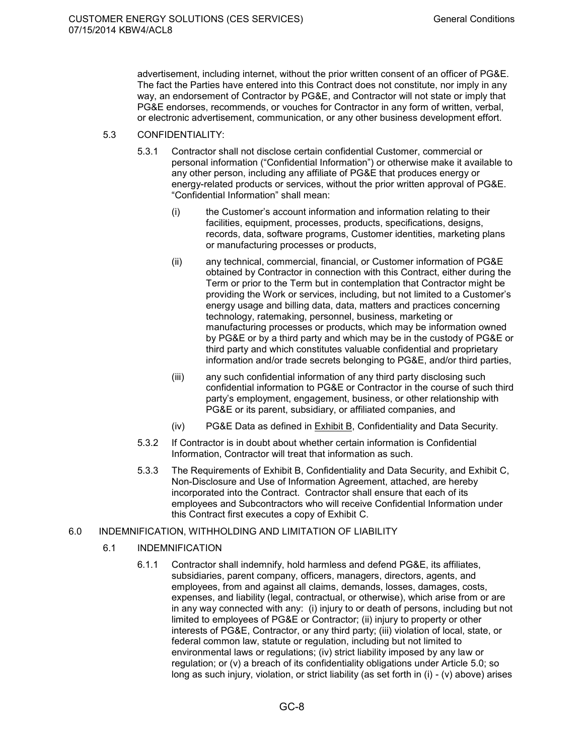advertisement, including internet, without the prior written consent of an officer of PG&E. The fact the Parties have entered into this Contract does not constitute, nor imply in any way, an endorsement of Contractor by PG&E, and Contractor will not state or imply that PG&E endorses, recommends, or vouches for Contractor in any form of written, verbal, or electronic advertisement, communication, or any other business development effort.

### 5.3 CONFIDENTIALITY:

- 5.3.1 Contractor shall not disclose certain confidential Customer, commercial or personal information ("Confidential Information") or otherwise make it available to any other person, including any affiliate of PG&E that produces energy or energy-related products or services, without the prior written approval of PG&E. "Confidential Information" shall mean:
	- (i) the Customer's account information and information relating to their facilities, equipment, processes, products, specifications, designs, records, data, software programs, Customer identities, marketing plans or manufacturing processes or products,
	- (ii) any technical, commercial, financial, or Customer information of PG&E obtained by Contractor in connection with this Contract, either during the Term or prior to the Term but in contemplation that Contractor might be providing the Work or services, including, but not limited to a Customer's energy usage and billing data, data, matters and practices concerning technology, ratemaking, personnel, business, marketing or manufacturing processes or products, which may be information owned by PG&E or by a third party and which may be in the custody of PG&E or third party and which constitutes valuable confidential and proprietary information and/or trade secrets belonging to PG&E, and/or third parties,
	- (iii) any such confidential information of any third party disclosing such confidential information to PG&E or Contractor in the course of such third party's employment, engagement, business, or other relationship with PG&E or its parent, subsidiary, or affiliated companies, and
	- (iv) PG&E Data as defined in Exhibit B, Confidentiality and Data Security.
- 5.3.2 If Contractor is in doubt about whether certain information is Confidential Information, Contractor will treat that information as such.
- 5.3.3 The Requirements of Exhibit B, Confidentiality and Data Security, and Exhibit C, Non-Disclosure and Use of Information Agreement, attached, are hereby incorporated into the Contract. Contractor shall ensure that each of its employees and Subcontractors who will receive Confidential Information under this Contract first executes a copy of Exhibit C.

### 6.0 INDEMNIFICATION, WITHHOLDING AND LIMITATION OF LIABILITY

### 6.1 INDEMNIFICATION

6.1.1 Contractor shall indemnify, hold harmless and defend PG&E, its affiliates, subsidiaries, parent company, officers, managers, directors, agents, and employees, from and against all claims, demands, losses, damages, costs, expenses, and liability (legal, contractual, or otherwise), which arise from or are in any way connected with any: (i) injury to or death of persons, including but not limited to employees of PG&E or Contractor; (ii) injury to property or other interests of PG&E, Contractor, or any third party; (iii) violation of local, state, or federal common law, statute or regulation, including but not limited to environmental laws or regulations; (iv) strict liability imposed by any law or regulation; or (v) a breach of its confidentiality obligations under Article 5.0; so long as such injury, violation, or strict liability (as set forth in (i) - (v) above) arises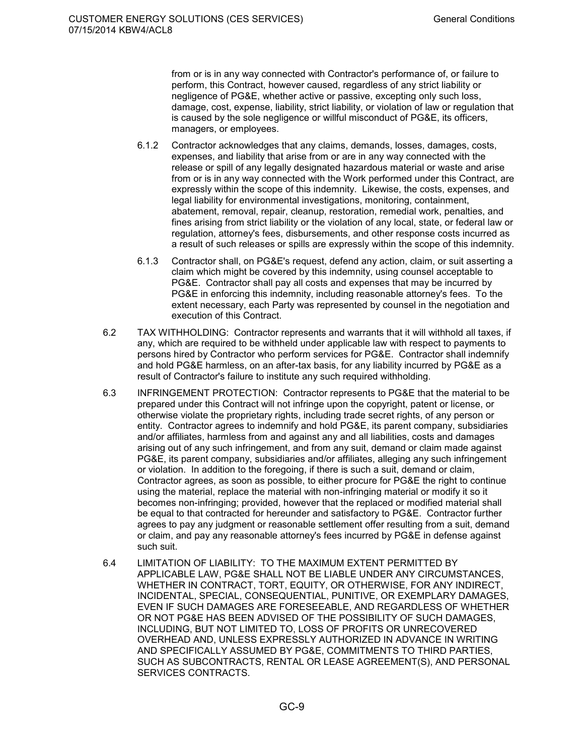from or is in any way connected with Contractor's performance of, or failure to perform, this Contract, however caused, regardless of any strict liability or negligence of PG&E, whether active or passive, excepting only such loss, damage, cost, expense, liability, strict liability, or violation of law or regulation that is caused by the sole negligence or willful misconduct of PG&E, its officers, managers, or employees.

- 6.1.2 Contractor acknowledges that any claims, demands, losses, damages, costs, expenses, and liability that arise from or are in any way connected with the release or spill of any legally designated hazardous material or waste and arise from or is in any way connected with the Work performed under this Contract, are expressly within the scope of this indemnity. Likewise, the costs, expenses, and legal liability for environmental investigations, monitoring, containment, abatement, removal, repair, cleanup, restoration, remedial work, penalties, and fines arising from strict liability or the violation of any local, state, or federal law or regulation, attorney's fees, disbursements, and other response costs incurred as a result of such releases or spills are expressly within the scope of this indemnity.
- 6.1.3 Contractor shall, on PG&E's request, defend any action, claim, or suit asserting a claim which might be covered by this indemnity, using counsel acceptable to PG&E. Contractor shall pay all costs and expenses that may be incurred by PG&E in enforcing this indemnity, including reasonable attorney's fees. To the extent necessary, each Party was represented by counsel in the negotiation and execution of this Contract.
- 6.2 TAX WITHHOLDING: Contractor represents and warrants that it will withhold all taxes, if any, which are required to be withheld under applicable law with respect to payments to persons hired by Contractor who perform services for PG&E. Contractor shall indemnify and hold PG&E harmless, on an after-tax basis, for any liability incurred by PG&E as a result of Contractor's failure to institute any such required withholding.
- 6.3 INFRINGEMENT PROTECTION: Contractor represents to PG&E that the material to be prepared under this Contract will not infringe upon the copyright, patent or license, or otherwise violate the proprietary rights, including trade secret rights, of any person or entity. Contractor agrees to indemnify and hold PG&E, its parent company, subsidiaries and/or affiliates, harmless from and against any and all liabilities, costs and damages arising out of any such infringement, and from any suit, demand or claim made against PG&E, its parent company, subsidiaries and/or affiliates, alleging any such infringement or violation. In addition to the foregoing, if there is such a suit, demand or claim, Contractor agrees, as soon as possible, to either procure for PG&E the right to continue using the material, replace the material with non-infringing material or modify it so it becomes non-infringing; provided, however that the replaced or modified material shall be equal to that contracted for hereunder and satisfactory to PG&E. Contractor further agrees to pay any judgment or reasonable settlement offer resulting from a suit, demand or claim, and pay any reasonable attorney's fees incurred by PG&E in defense against such suit.
- 6.4 LIMITATION OF LIABILITY: TO THE MAXIMUM EXTENT PERMITTED BY APPLICABLE LAW, PG&E SHALL NOT BE LIABLE UNDER ANY CIRCUMSTANCES, WHETHER IN CONTRACT, TORT, EQUITY, OR OTHERWISE, FOR ANY INDIRECT, INCIDENTAL, SPECIAL, CONSEQUENTIAL, PUNITIVE, OR EXEMPLARY DAMAGES, EVEN IF SUCH DAMAGES ARE FORESEEABLE, AND REGARDLESS OF WHETHER OR NOT PG&E HAS BEEN ADVISED OF THE POSSIBILITY OF SUCH DAMAGES, INCLUDING, BUT NOT LIMITED TO, LOSS OF PROFITS OR UNRECOVERED OVERHEAD AND, UNLESS EXPRESSLY AUTHORIZED IN ADVANCE IN WRITING AND SPECIFICALLY ASSUMED BY PG&E, COMMITMENTS TO THIRD PARTIES, SUCH AS SUBCONTRACTS, RENTAL OR LEASE AGREEMENT(S), AND PERSONAL SERVICES CONTRACTS.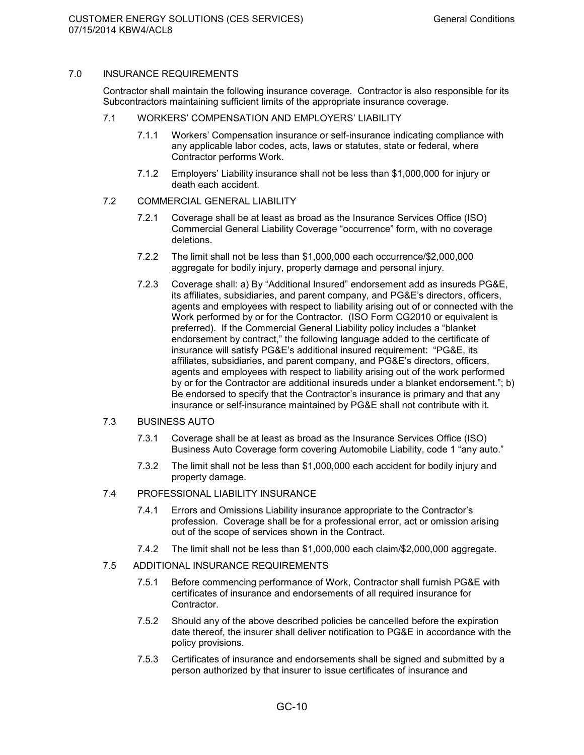### 7.0 INSURANCE REQUIREMENTS

Contractor shall maintain the following insurance coverage. Contractor is also responsible for its Subcontractors maintaining sufficient limits of the appropriate insurance coverage.

- 7.1 WORKERS' COMPENSATION AND EMPLOYERS' LIABILITY
	- 7.1.1 Workers' Compensation insurance or self-insurance indicating compliance with any applicable labor codes, acts, laws or statutes, state or federal, where Contractor performs Work.
	- 7.1.2 Employers' Liability insurance shall not be less than \$1,000,000 for injury or death each accident.
- 7.2 COMMERCIAL GENERAL LIABILITY
	- 7.2.1 Coverage shall be at least as broad as the Insurance Services Office (ISO) Commercial General Liability Coverage "occurrence" form, with no coverage deletions.
	- 7.2.2 The limit shall not be less than \$1,000,000 each occurrence/\$2,000,000 aggregate for bodily injury, property damage and personal injury.
	- 7.2.3 Coverage shall: a) By "Additional Insured" endorsement add as insureds PG&E, its affiliates, subsidiaries, and parent company, and PG&E's directors, officers, agents and employees with respect to liability arising out of or connected with the Work performed by or for the Contractor. (ISO Form CG2010 or equivalent is preferred). If the Commercial General Liability policy includes a "blanket endorsement by contract," the following language added to the certificate of insurance will satisfy PG&E's additional insured requirement: "PG&E, its affiliates, subsidiaries, and parent company, and PG&E's directors, officers, agents and employees with respect to liability arising out of the work performed by or for the Contractor are additional insureds under a blanket endorsement."; b) Be endorsed to specify that the Contractor's insurance is primary and that any insurance or self-insurance maintained by PG&E shall not contribute with it.

### 7.3 BUSINESS AUTO

- 7.3.1 Coverage shall be at least as broad as the Insurance Services Office (ISO) Business Auto Coverage form covering Automobile Liability, code 1 "any auto."
- 7.3.2 The limit shall not be less than \$1,000,000 each accident for bodily injury and property damage.
- 7.4 PROFESSIONAL LIABILITY INSURANCE
	- 7.4.1 Errors and Omissions Liability insurance appropriate to the Contractor's profession. Coverage shall be for a professional error, act or omission arising out of the scope of services shown in the Contract.
	- 7.4.2 The limit shall not be less than \$1,000,000 each claim/\$2,000,000 aggregate.
- 7.5 ADDITIONAL INSURANCE REQUIREMENTS
	- 7.5.1 Before commencing performance of Work, Contractor shall furnish PG&E with certificates of insurance and endorsements of all required insurance for Contractor.
	- 7.5.2 Should any of the above described policies be cancelled before the expiration date thereof, the insurer shall deliver notification to PG&E in accordance with the policy provisions.
	- 7.5.3 Certificates of insurance and endorsements shall be signed and submitted by a person authorized by that insurer to issue certificates of insurance and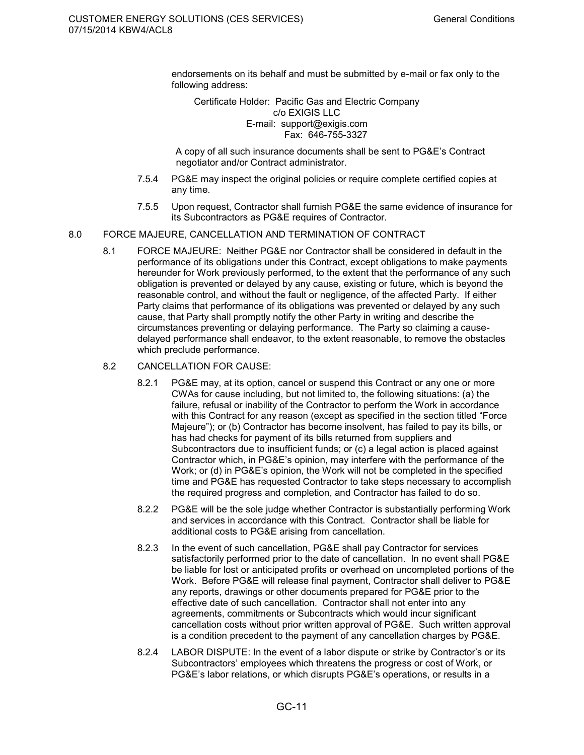endorsements on its behalf and must be submitted by e-mail or fax only to the following address:

Certificate Holder: Pacific Gas and Electric Company c/o EXIGIS LLC E-mail: support@exigis.com Fax: 646-755-3327

A copy of all such insurance documents shall be sent to PG&E's Contract negotiator and/or Contract administrator.

- 7.5.4 PG&E may inspect the original policies or require complete certified copies at any time.
- 7.5.5 Upon request, Contractor shall furnish PG&E the same evidence of insurance for its Subcontractors as PG&E requires of Contractor.
- 8.0 FORCE MAJEURE, CANCELLATION AND TERMINATION OF CONTRACT
	- 8.1 FORCE MAJEURE: Neither PG&E nor Contractor shall be considered in default in the performance of its obligations under this Contract, except obligations to make payments hereunder for Work previously performed, to the extent that the performance of any such obligation is prevented or delayed by any cause, existing or future, which is beyond the reasonable control, and without the fault or negligence, of the affected Party. If either Party claims that performance of its obligations was prevented or delayed by any such cause, that Party shall promptly notify the other Party in writing and describe the circumstances preventing or delaying performance. The Party so claiming a causedelayed performance shall endeavor, to the extent reasonable, to remove the obstacles which preclude performance.
	- 8.2 CANCELLATION FOR CAUSE:
		- 8.2.1 PG&E may, at its option, cancel or suspend this Contract or any one or more CWAs for cause including, but not limited to, the following situations: (a) the failure, refusal or inability of the Contractor to perform the Work in accordance with this Contract for any reason (except as specified in the section titled "Force Majeure"); or (b) Contractor has become insolvent, has failed to pay its bills, or has had checks for payment of its bills returned from suppliers and Subcontractors due to insufficient funds; or (c) a legal action is placed against Contractor which, in PG&E's opinion, may interfere with the performance of the Work; or (d) in PG&E's opinion, the Work will not be completed in the specified time and PG&E has requested Contractor to take steps necessary to accomplish the required progress and completion, and Contractor has failed to do so.
		- 8.2.2 PG&E will be the sole judge whether Contractor is substantially performing Work and services in accordance with this Contract. Contractor shall be liable for additional costs to PG&E arising from cancellation.
		- 8.2.3 In the event of such cancellation, PG&E shall pay Contractor for services satisfactorily performed prior to the date of cancellation. In no event shall PG&E be liable for lost or anticipated profits or overhead on uncompleted portions of the Work. Before PG&E will release final payment, Contractor shall deliver to PG&E any reports, drawings or other documents prepared for PG&E prior to the effective date of such cancellation. Contractor shall not enter into any agreements, commitments or Subcontracts which would incur significant cancellation costs without prior written approval of PG&E. Such written approval is a condition precedent to the payment of any cancellation charges by PG&E.
		- 8.2.4 LABOR DISPUTE: In the event of a labor dispute or strike by Contractor's or its Subcontractors' employees which threatens the progress or cost of Work, or PG&E's labor relations, or which disrupts PG&E's operations, or results in a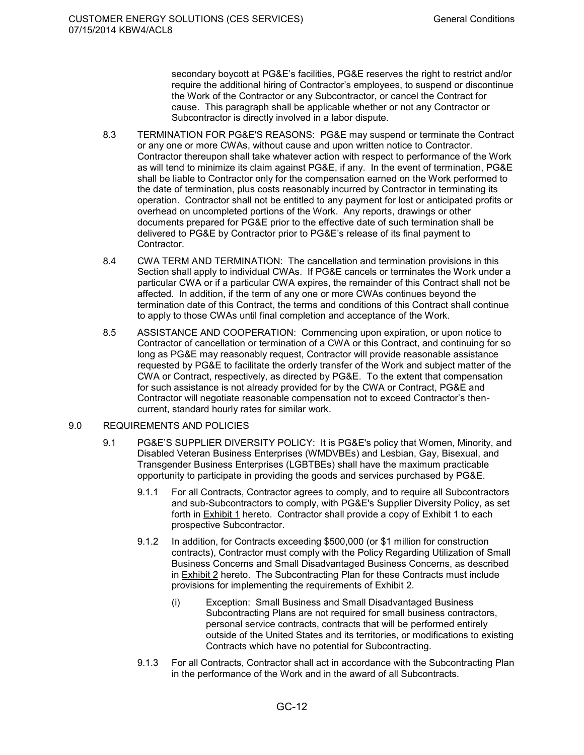secondary boycott at PG&E's facilities, PG&E reserves the right to restrict and/or require the additional hiring of Contractor's employees, to suspend or discontinue the Work of the Contractor or any Subcontractor, or cancel the Contract for cause. This paragraph shall be applicable whether or not any Contractor or Subcontractor is directly involved in a labor dispute.

- 8.3 TERMINATION FOR PG&E'S REASONS: PG&E may suspend or terminate the Contract or any one or more CWAs, without cause and upon written notice to Contractor. Contractor thereupon shall take whatever action with respect to performance of the Work as will tend to minimize its claim against PG&E, if any. In the event of termination, PG&E shall be liable to Contractor only for the compensation earned on the Work performed to the date of termination, plus costs reasonably incurred by Contractor in terminating its operation. Contractor shall not be entitled to any payment for lost or anticipated profits or overhead on uncompleted portions of the Work. Any reports, drawings or other documents prepared for PG&E prior to the effective date of such termination shall be delivered to PG&E by Contractor prior to PG&E's release of its final payment to Contractor.
- 8.4 CWA TERM AND TERMINATION: The cancellation and termination provisions in this Section shall apply to individual CWAs. If PG&E cancels or terminates the Work under a particular CWA or if a particular CWA expires, the remainder of this Contract shall not be affected. In addition, if the term of any one or more CWAs continues beyond the termination date of this Contract, the terms and conditions of this Contract shall continue to apply to those CWAs until final completion and acceptance of the Work.
- 8.5 ASSISTANCE AND COOPERATION: Commencing upon expiration, or upon notice to Contractor of cancellation or termination of a CWA or this Contract, and continuing for so long as PG&E may reasonably request, Contractor will provide reasonable assistance requested by PG&E to facilitate the orderly transfer of the Work and subject matter of the CWA or Contract, respectively, as directed by PG&E. To the extent that compensation for such assistance is not already provided for by the CWA or Contract, PG&E and Contractor will negotiate reasonable compensation not to exceed Contractor's thencurrent, standard hourly rates for similar work.

### 9.0 REQUIREMENTS AND POLICIES

- 9.1 PG&E'S SUPPLIER DIVERSITY POLICY: It is PG&E's policy that Women, Minority, and Disabled Veteran Business Enterprises (WMDVBEs) and Lesbian, Gay, Bisexual, and Transgender Business Enterprises (LGBTBEs) shall have the maximum practicable opportunity to participate in providing the goods and services purchased by PG&E.
	- 9.1.1 For all Contracts, Contractor agrees to comply, and to require all Subcontractors and sub-Subcontractors to comply, with PG&E's Supplier Diversity Policy, as set forth in **Exhibit 1** hereto. Contractor shall provide a copy of Exhibit 1 to each prospective Subcontractor.
	- 9.1.2 In addition, for Contracts exceeding \$500,000 (or \$1 million for construction contracts), Contractor must comply with the Policy Regarding Utilization of Small Business Concerns and Small Disadvantaged Business Concerns, as described in Exhibit 2 hereto. The Subcontracting Plan for these Contracts must include provisions for implementing the requirements of Exhibit 2.
		- (i) Exception: Small Business and Small Disadvantaged Business Subcontracting Plans are not required for small business contractors, personal service contracts, contracts that will be performed entirely outside of the United States and its territories, or modifications to existing Contracts which have no potential for Subcontracting.
	- 9.1.3 For all Contracts, Contractor shall act in accordance with the Subcontracting Plan in the performance of the Work and in the award of all Subcontracts.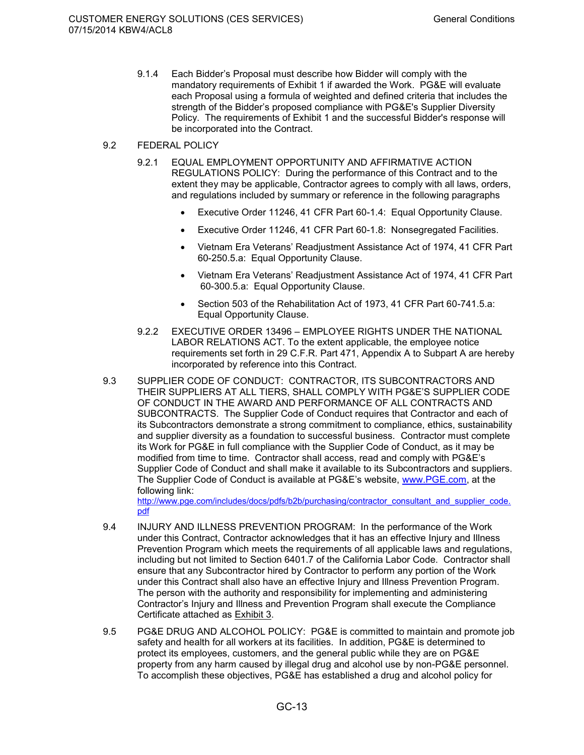- 9.1.4 Each Bidder's Proposal must describe how Bidder will comply with the mandatory requirements of Exhibit 1 if awarded the Work. PG&E will evaluate each Proposal using a formula of weighted and defined criteria that includes the strength of the Bidder's proposed compliance with PG&E's Supplier Diversity Policy. The requirements of Exhibit 1 and the successful Bidder's response will be incorporated into the Contract.
- 9.2 FEDERAL POLICY
	- 9.2.1 EQUAL EMPLOYMENT OPPORTUNITY AND AFFIRMATIVE ACTION REGULATIONS POLICY: During the performance of this Contract and to the extent they may be applicable, Contractor agrees to comply with all laws, orders, and regulations included by summary or reference in the following paragraphs
		- Executive Order 11246, 41 CFR Part 60-1.4: Equal Opportunity Clause.
		- Executive Order 11246, 41 CFR Part 60-1.8: Nonsegregated Facilities.
		- Vietnam Era Veterans' Readjustment Assistance Act of 1974, 41 CFR Part 60-250.5.a: Equal Opportunity Clause.
		- Vietnam Era Veterans' Readjustment Assistance Act of 1974, 41 CFR Part 60-300.5.a: Equal Opportunity Clause.
		- Section 503 of the Rehabilitation Act of 1973, 41 CFR Part 60-741.5.a: Equal Opportunity Clause.
	- 9.2.2 EXECUTIVE ORDER 13496 EMPLOYEE RIGHTS UNDER THE NATIONAL LABOR RELATIONS ACT. To the extent applicable, the employee notice requirements set forth in 29 C.F.R. Part 471, Appendix A to Subpart A are hereby incorporated by reference into this Contract.
- 9.3 SUPPLIER CODE OF CONDUCT: CONTRACTOR, ITS SUBCONTRACTORS AND THEIR SUPPLIERS AT ALL TIERS, SHALL COMPLY WITH PG&E'S SUPPLIER CODE OF CONDUCT IN THE AWARD AND PERFORMANCE OF ALL CONTRACTS AND SUBCONTRACTS. The Supplier Code of Conduct requires that Contractor and each of its Subcontractors demonstrate a strong commitment to compliance, ethics, sustainability and supplier diversity as a foundation to successful business. Contractor must complete its Work for PG&E in full compliance with the Supplier Code of Conduct, as it may be modified from time to time. Contractor shall access, read and comply with PG&E's Supplier Code of Conduct and shall make it available to its Subcontractors and suppliers. The Supplier Code of Conduct is available at PG&E's website, www.PGE.com, at the following link:

http://www.pge.com/includes/docs/pdfs/b2b/purchasing/contractor\_consultant\_and\_supplier\_code. pdf

- 9.4 INJURY AND ILLNESS PREVENTION PROGRAM: In the performance of the Work under this Contract, Contractor acknowledges that it has an effective Injury and Illness Prevention Program which meets the requirements of all applicable laws and regulations, including but not limited to Section 6401.7 of the California Labor Code. Contractor shall ensure that any Subcontractor hired by Contractor to perform any portion of the Work under this Contract shall also have an effective Injury and Illness Prevention Program. The person with the authority and responsibility for implementing and administering Contractor's Injury and Illness and Prevention Program shall execute the Compliance Certificate attached as Exhibit 3.
- 9.5 PG&E DRUG AND ALCOHOL POLICY: PG&E is committed to maintain and promote job safety and health for all workers at its facilities. In addition, PG&E is determined to protect its employees, customers, and the general public while they are on PG&E property from any harm caused by illegal drug and alcohol use by non-PG&E personnel. To accomplish these objectives, PG&E has established a drug and alcohol policy for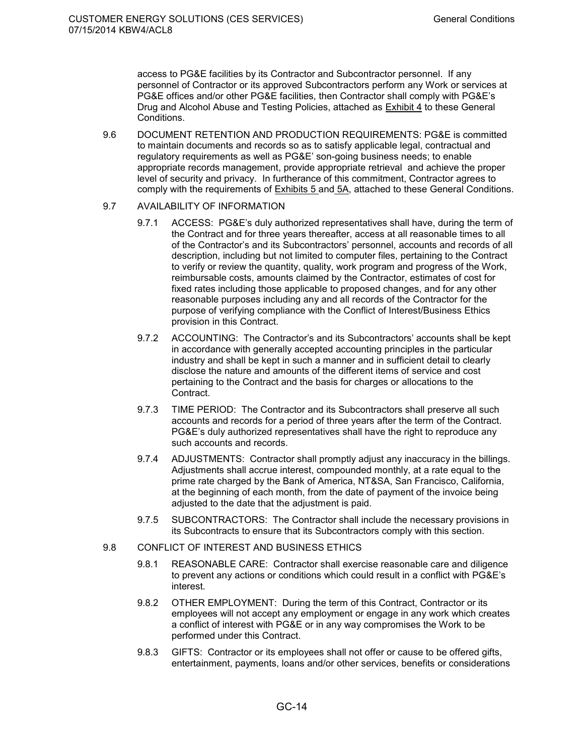access to PG&E facilities by its Contractor and Subcontractor personnel. If any personnel of Contractor or its approved Subcontractors perform any Work or services at PG&E offices and/or other PG&E facilities, then Contractor shall comply with PG&E's Drug and Alcohol Abuse and Testing Policies, attached as Exhibit 4 to these General Conditions.

9.6 DOCUMENT RETENTION AND PRODUCTION REQUIREMENTS: PG&E is committed to maintain documents and records so as to satisfy applicable legal, contractual and regulatory requirements as well as PG&E' son-going business needs; to enable appropriate records management, provide appropriate retrieval and achieve the proper level of security and privacy. In furtherance of this commitment, Contractor agrees to comply with the requirements of Exhibits 5 and 5A, attached to these General Conditions.

### 9.7 AVAILABILITY OF INFORMATION

- 9.7.1 ACCESS: PG&E's duly authorized representatives shall have, during the term of the Contract and for three years thereafter, access at all reasonable times to all of the Contractor's and its Subcontractors' personnel, accounts and records of all description, including but not limited to computer files, pertaining to the Contract to verify or review the quantity, quality, work program and progress of the Work, reimbursable costs, amounts claimed by the Contractor, estimates of cost for fixed rates including those applicable to proposed changes, and for any other reasonable purposes including any and all records of the Contractor for the purpose of verifying compliance with the Conflict of Interest/Business Ethics provision in this Contract.
- 9.7.2 ACCOUNTING: The Contractor's and its Subcontractors' accounts shall be kept in accordance with generally accepted accounting principles in the particular industry and shall be kept in such a manner and in sufficient detail to clearly disclose the nature and amounts of the different items of service and cost pertaining to the Contract and the basis for charges or allocations to the Contract.
- 9.7.3 TIME PERIOD: The Contractor and its Subcontractors shall preserve all such accounts and records for a period of three years after the term of the Contract. PG&E's duly authorized representatives shall have the right to reproduce any such accounts and records.
- 9.7.4 ADJUSTMENTS: Contractor shall promptly adjust any inaccuracy in the billings. Adjustments shall accrue interest, compounded monthly, at a rate equal to the prime rate charged by the Bank of America, NT&SA, San Francisco, California, at the beginning of each month, from the date of payment of the invoice being adjusted to the date that the adjustment is paid.
- 9.7.5 SUBCONTRACTORS: The Contractor shall include the necessary provisions in its Subcontracts to ensure that its Subcontractors comply with this section.

### 9.8 CONFLICT OF INTEREST AND BUSINESS ETHICS

- 9.8.1 REASONABLE CARE: Contractor shall exercise reasonable care and diligence to prevent any actions or conditions which could result in a conflict with PG&E's interest.
- 9.8.2 OTHER EMPLOYMENT: During the term of this Contract, Contractor or its employees will not accept any employment or engage in any work which creates a conflict of interest with PG&E or in any way compromises the Work to be performed under this Contract.
- 9.8.3 GIFTS: Contractor or its employees shall not offer or cause to be offered gifts, entertainment, payments, loans and/or other services, benefits or considerations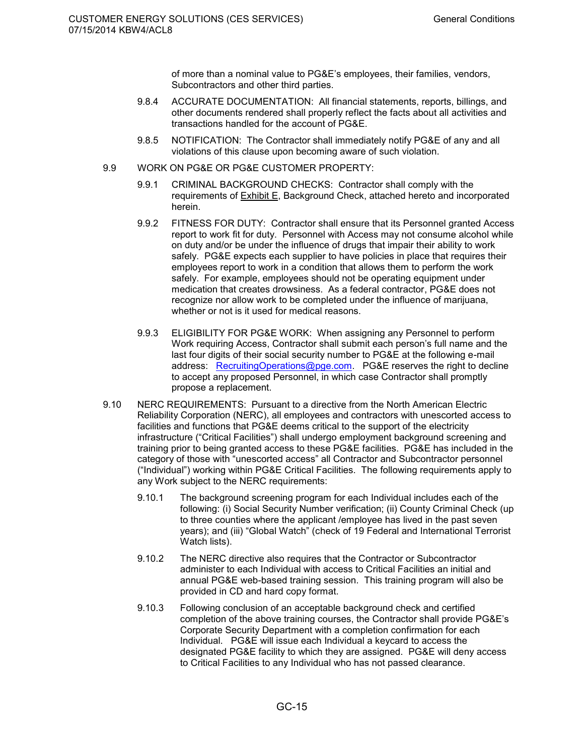of more than a nominal value to PG&E's employees, their families, vendors, Subcontractors and other third parties.

- 9.8.4 ACCURATE DOCUMENTATION: All financial statements, reports, billings, and other documents rendered shall properly reflect the facts about all activities and transactions handled for the account of PG&E.
- 9.8.5 NOTIFICATION: The Contractor shall immediately notify PG&E of any and all violations of this clause upon becoming aware of such violation.
- 9.9 WORK ON PG&E OR PG&E CUSTOMER PROPERTY:
	- 9.9.1 CRIMINAL BACKGROUND CHECKS: Contractor shall comply with the requirements of Exhibit E, Background Check, attached hereto and incorporated herein.
	- 9.9.2 FITNESS FOR DUTY: Contractor shall ensure that its Personnel granted Access report to work fit for duty. Personnel with Access may not consume alcohol while on duty and/or be under the influence of drugs that impair their ability to work safely. PG&E expects each supplier to have policies in place that requires their employees report to work in a condition that allows them to perform the work safely. For example, employees should not be operating equipment under medication that creates drowsiness. As a federal contractor, PG&E does not recognize nor allow work to be completed under the influence of marijuana, whether or not is it used for medical reasons.
	- 9.9.3 ELIGIBILITY FOR PG&E WORK: When assigning any Personnel to perform Work requiring Access, Contractor shall submit each person's full name and the last four digits of their social security number to PG&E at the following e-mail address: RecruitingOperations@pge.com. PG&E reserves the right to decline to accept any proposed Personnel, in which case Contractor shall promptly propose a replacement.
- 9.10 NERC REQUIREMENTS: Pursuant to a directive from the North American Electric Reliability Corporation (NERC), all employees and contractors with unescorted access to facilities and functions that PG&E deems critical to the support of the electricity infrastructure ("Critical Facilities") shall undergo employment background screening and training prior to being granted access to these PG&E facilities. PG&E has included in the category of those with "unescorted access" all Contractor and Subcontractor personnel ("Individual") working within PG&E Critical Facilities. The following requirements apply to any Work subject to the NERC requirements:
	- 9.10.1 The background screening program for each Individual includes each of the following: (i) Social Security Number verification; (ii) County Criminal Check (up to three counties where the applicant /employee has lived in the past seven years); and (iii) "Global Watch" (check of 19 Federal and International Terrorist Watch lists).
	- 9.10.2 The NERC directive also requires that the Contractor or Subcontractor administer to each Individual with access to Critical Facilities an initial and annual PG&E web-based training session. This training program will also be provided in CD and hard copy format.
	- 9.10.3 Following conclusion of an acceptable background check and certified completion of the above training courses, the Contractor shall provide PG&E's Corporate Security Department with a completion confirmation for each Individual. PG&E will issue each Individual a keycard to access the designated PG&E facility to which they are assigned. PG&E will deny access to Critical Facilities to any Individual who has not passed clearance.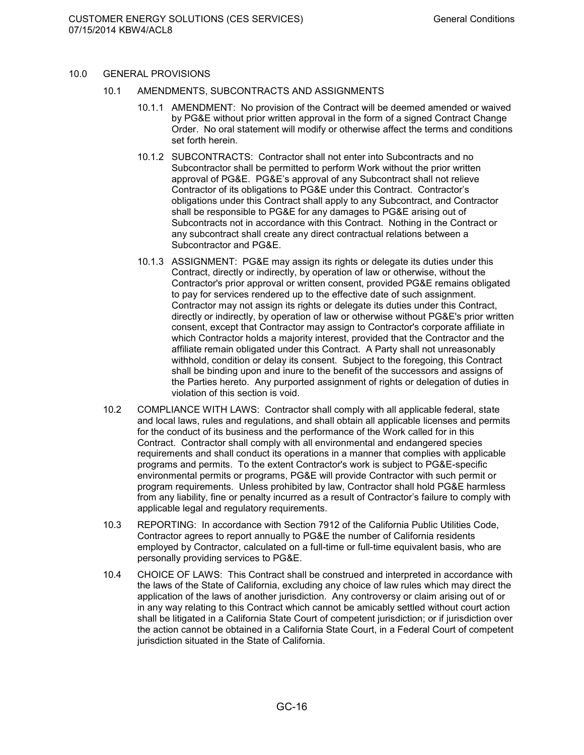- 10.0 GENERAL PROVISIONS
	- 10.1 AMENDMENTS, SUBCONTRACTS AND ASSIGNMENTS
		- 10.1.1 AMENDMENT: No provision of the Contract will be deemed amended or waived by PG&E without prior written approval in the form of a signed Contract Change Order. No oral statement will modify or otherwise affect the terms and conditions set forth herein.
		- 10.1.2 SUBCONTRACTS: Contractor shall not enter into Subcontracts and no Subcontractor shall be permitted to perform Work without the prior written approval of PG&E. PG&E's approval of any Subcontract shall not relieve Contractor of its obligations to PG&E under this Contract. Contractor's obligations under this Contract shall apply to any Subcontract, and Contractor shall be responsible to PG&E for any damages to PG&E arising out of Subcontracts not in accordance with this Contract. Nothing in the Contract or any subcontract shall create any direct contractual relations between a Subcontractor and PG&E.
		- 10.1.3 ASSIGNMENT: PG&E may assign its rights or delegate its duties under this Contract, directly or indirectly, by operation of law or otherwise, without the Contractor's prior approval or written consent, provided PG&E remains obligated to pay for services rendered up to the effective date of such assignment. Contractor may not assign its rights or delegate its duties under this Contract, directly or indirectly, by operation of law or otherwise without PG&E's prior written consent, except that Contractor may assign to Contractor's corporate affiliate in which Contractor holds a majority interest, provided that the Contractor and the affiliate remain obligated under this Contract. A Party shall not unreasonably withhold, condition or delay its consent. Subject to the foregoing, this Contract shall be binding upon and inure to the benefit of the successors and assigns of the Parties hereto. Any purported assignment of rights or delegation of duties in violation of this section is void.
	- 10.2 COMPLIANCE WITH LAWS: Contractor shall comply with all applicable federal, state and local laws, rules and regulations, and shall obtain all applicable licenses and permits for the conduct of its business and the performance of the Work called for in this Contract. Contractor shall comply with all environmental and endangered species requirements and shall conduct its operations in a manner that complies with applicable programs and permits. To the extent Contractor's work is subject to PG&E-specific environmental permits or programs, PG&E will provide Contractor with such permit or program requirements. Unless prohibited by law, Contractor shall hold PG&E harmless from any liability, fine or penalty incurred as a result of Contractor's failure to comply with applicable legal and regulatory requirements.
	- 10.3 REPORTING: In accordance with Section 7912 of the California Public Utilities Code, Contractor agrees to report annually to PG&E the number of California residents employed by Contractor, calculated on a full-time or full-time equivalent basis, who are personally providing services to PG&E.
	- 10.4 CHOICE OF LAWS: This Contract shall be construed and interpreted in accordance with the laws of the State of California, excluding any choice of law rules which may direct the application of the laws of another jurisdiction. Any controversy or claim arising out of or in any way relating to this Contract which cannot be amicably settled without court action shall be litigated in a California State Court of competent jurisdiction; or if jurisdiction over the action cannot be obtained in a California State Court, in a Federal Court of competent jurisdiction situated in the State of California.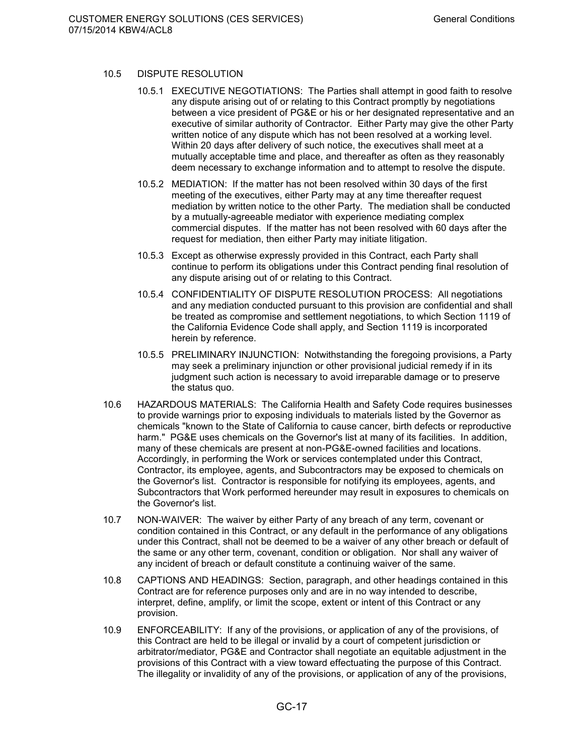### 10.5 DISPUTE RESOLUTION

- 10.5.1 EXECUTIVE NEGOTIATIONS: The Parties shall attempt in good faith to resolve any dispute arising out of or relating to this Contract promptly by negotiations between a vice president of PG&E or his or her designated representative and an executive of similar authority of Contractor. Either Party may give the other Party written notice of any dispute which has not been resolved at a working level. Within 20 days after delivery of such notice, the executives shall meet at a mutually acceptable time and place, and thereafter as often as they reasonably deem necessary to exchange information and to attempt to resolve the dispute.
- 10.5.2 MEDIATION: If the matter has not been resolved within 30 days of the first meeting of the executives, either Party may at any time thereafter request mediation by written notice to the other Party. The mediation shall be conducted by a mutually-agreeable mediator with experience mediating complex commercial disputes. If the matter has not been resolved with 60 days after the request for mediation, then either Party may initiate litigation.
- 10.5.3 Except as otherwise expressly provided in this Contract, each Party shall continue to perform its obligations under this Contract pending final resolution of any dispute arising out of or relating to this Contract.
- 10.5.4 CONFIDENTIALITY OF DISPUTE RESOLUTION PROCESS: All negotiations and any mediation conducted pursuant to this provision are confidential and shall be treated as compromise and settlement negotiations, to which Section 1119 of the California Evidence Code shall apply, and Section 1119 is incorporated herein by reference.
- 10.5.5 PRELIMINARY INJUNCTION: Notwithstanding the foregoing provisions, a Party may seek a preliminary injunction or other provisional judicial remedy if in its judgment such action is necessary to avoid irreparable damage or to preserve the status quo.
- 10.6 HAZARDOUS MATERIALS: The California Health and Safety Code requires businesses to provide warnings prior to exposing individuals to materials listed by the Governor as chemicals "known to the State of California to cause cancer, birth defects or reproductive harm." PG&E uses chemicals on the Governor's list at many of its facilities. In addition, many of these chemicals are present at non-PG&E-owned facilities and locations. Accordingly, in performing the Work or services contemplated under this Contract, Contractor, its employee, agents, and Subcontractors may be exposed to chemicals on the Governor's list. Contractor is responsible for notifying its employees, agents, and Subcontractors that Work performed hereunder may result in exposures to chemicals on the Governor's list.
- 10.7 NON-WAIVER: The waiver by either Party of any breach of any term, covenant or condition contained in this Contract, or any default in the performance of any obligations under this Contract, shall not be deemed to be a waiver of any other breach or default of the same or any other term, covenant, condition or obligation. Nor shall any waiver of any incident of breach or default constitute a continuing waiver of the same.
- 10.8 CAPTIONS AND HEADINGS: Section, paragraph, and other headings contained in this Contract are for reference purposes only and are in no way intended to describe, interpret, define, amplify, or limit the scope, extent or intent of this Contract or any provision.
- 10.9 ENFORCEABILITY: If any of the provisions, or application of any of the provisions, of this Contract are held to be illegal or invalid by a court of competent jurisdiction or arbitrator/mediator, PG&E and Contractor shall negotiate an equitable adjustment in the provisions of this Contract with a view toward effectuating the purpose of this Contract. The illegality or invalidity of any of the provisions, or application of any of the provisions,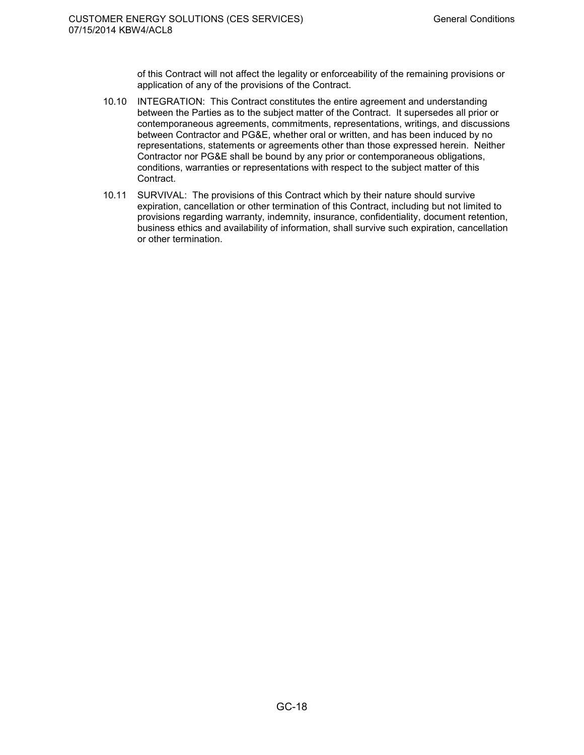of this Contract will not affect the legality or enforceability of the remaining provisions or application of any of the provisions of the Contract.

- 10.10 INTEGRATION: This Contract constitutes the entire agreement and understanding between the Parties as to the subject matter of the Contract. It supersedes all prior or contemporaneous agreements, commitments, representations, writings, and discussions between Contractor and PG&E, whether oral or written, and has been induced by no representations, statements or agreements other than those expressed herein. Neither Contractor nor PG&E shall be bound by any prior or contemporaneous obligations, conditions, warranties or representations with respect to the subject matter of this Contract.
- 10.11 SURVIVAL: The provisions of this Contract which by their nature should survive expiration, cancellation or other termination of this Contract, including but not limited to provisions regarding warranty, indemnity, insurance, confidentiality, document retention, business ethics and availability of information, shall survive such expiration, cancellation or other termination.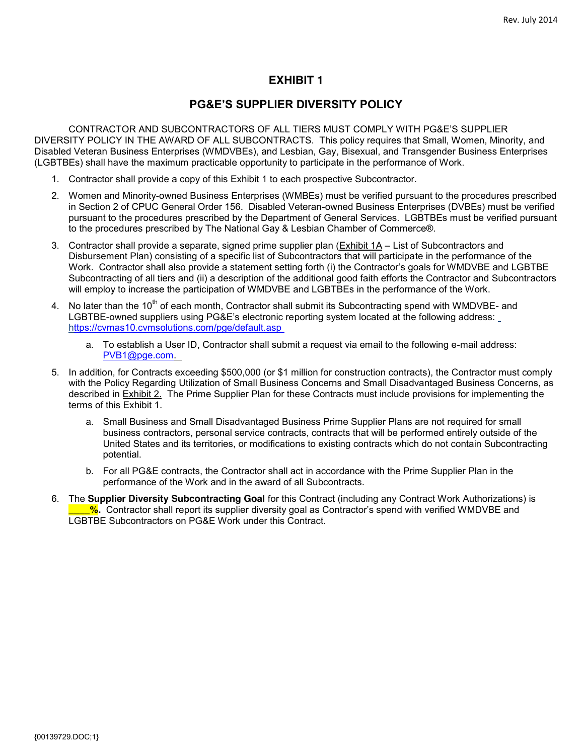### **PG&E'S SUPPLIER DIVERSITY POLICY**

CONTRACTOR AND SUBCONTRACTORS OF ALL TIERS MUST COMPLY WITH PG&E'S SUPPLIER DIVERSITY POLICY IN THE AWARD OF ALL SUBCONTRACTS. This policy requires that Small, Women, Minority, and Disabled Veteran Business Enterprises (WMDVBEs), and Lesbian, Gay, Bisexual, and Transgender Business Enterprises (LGBTBEs) shall have the maximum practicable opportunity to participate in the performance of Work.

- 1. Contractor shall provide a copy of this Exhibit 1 to each prospective Subcontractor.
- 2. Women and Minority-owned Business Enterprises (WMBEs) must be verified pursuant to the procedures prescribed in Section 2 of CPUC General Order 156. Disabled Veteran-owned Business Enterprises (DVBEs) must be verified pursuant to the procedures prescribed by the Department of General Services. LGBTBEs must be verified pursuant to the procedures prescribed by The National Gay & Lesbian Chamber of Commerce®.
- 3. Contractor shall provide a separate, signed prime supplier plan (Exhibit 1A List of Subcontractors and Disbursement Plan) consisting of a specific list of Subcontractors that will participate in the performance of the Work. Contractor shall also provide a statement setting forth (i) the Contractor's goals for WMDVBE and LGBTBE Subcontracting of all tiers and (ii) a description of the additional good faith efforts the Contractor and Subcontractors will employ to increase the participation of WMDVBE and LGBTBEs in the performance of the Work.
- 4. No later than the 10<sup>th</sup> of each month, Contractor shall submit its Subcontracting spend with WMDVBE- and LGBTBE-owned suppliers using PG&E's electronic reporting system located at the following address: https://cvmas10.cvmsolutions.com/pge/default.asp
	- a. To establish a User ID, Contractor shall submit a request via email to the following e-mail address: PVB1@pge.com.
- 5. In addition, for Contracts exceeding \$500,000 (or \$1 million for construction contracts), the Contractor must comply with the Policy Regarding Utilization of Small Business Concerns and Small Disadvantaged Business Concerns, as described in Exhibit 2. The Prime Supplier Plan for these Contracts must include provisions for implementing the terms of this Exhibit 1.
	- a. Small Business and Small Disadvantaged Business Prime Supplier Plans are not required for small business contractors, personal service contracts, contracts that will be performed entirely outside of the United States and its territories, or modifications to existing contracts which do not contain Subcontracting potential.
	- b. For all PG&E contracts, the Contractor shall act in accordance with the Prime Supplier Plan in the performance of the Work and in the award of all Subcontracts.
- 6. The **Supplier Diversity Subcontracting Goal** for this Contract (including any Contract Work Authorizations) is **\_\_\_\_%.** Contractor shall report its supplier diversity goal as Contractor's spend with verified WMDVBE and LGBTBE Subcontractors on PG&E Work under this Contract.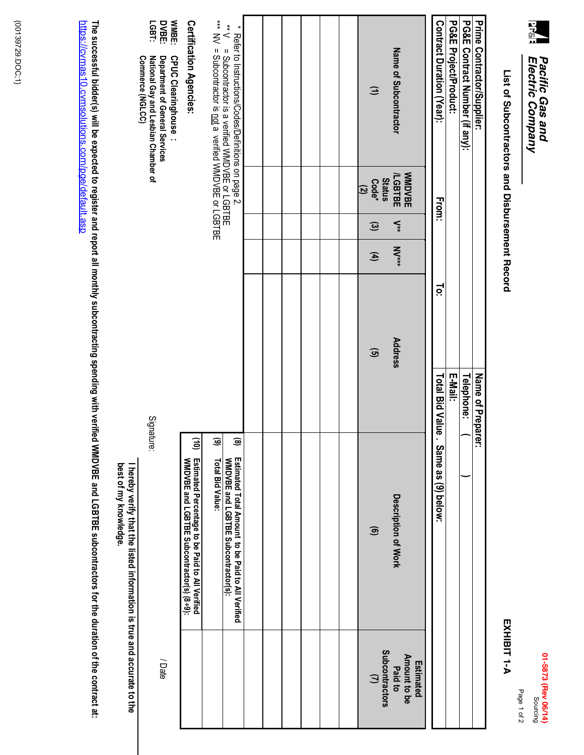

# List of Subcontractors and Disbursement Record List of Subcontractors and Disbursement Record EXHIBIT 1-A HIBIT 1-A HIBIT 1-A HIBIT 1-A

|   | г<br>¢<br>ľ<br>г |
|---|------------------|
| ć |                  |

Page 1 of 2

Page 1 of 2

EXHIBIT 1-A

| WMBE:<br>*** NV = Subcontractor is not a verified WMDVBE or LGBTBE<br><b>Certification Agencies:</b><br>DVBE:<br>LGBT:<br>$\lambda *$<br>= Subcontractor is a verified WMDVBE or LGBTBE<br>Commerce (NGLCC)<br>CPUC Clearinghouse<br>National Gay and Lesbian Chamber of<br>Department of General Services |            |                                                                                                        | * Refer to Instructions/Codes/Definitions on page 2.                                                                    |  |  |  | $\ominus$                                                  | Name of Subcontractor                       | Contract Duration (Year): | <b>PG&amp;E Project/Product:</b> | PG&E Contract Number (if any): | Prime Contractor/Supplier: |
|------------------------------------------------------------------------------------------------------------------------------------------------------------------------------------------------------------------------------------------------------------------------------------------------------------|------------|--------------------------------------------------------------------------------------------------------|-------------------------------------------------------------------------------------------------------------------------|--|--|--|------------------------------------------------------------|---------------------------------------------|---------------------------|----------------------------------|--------------------------------|----------------------------|
|                                                                                                                                                                                                                                                                                                            |            |                                                                                                        |                                                                                                                         |  |  |  | <b>Status</b><br>$Code*$<br>$\overline{z}$<br>$\mathbf{c}$ | <b>MMDVBE</b><br><b>LGBTBE</b><br>$\leq$    | From:                     |                                  |                                |                            |
|                                                                                                                                                                                                                                                                                                            |            |                                                                                                        |                                                                                                                         |  |  |  | $\mathbf{f}$                                               | <b>M</b>                                    |                           |                                  |                                |                            |
|                                                                                                                                                                                                                                                                                                            |            |                                                                                                        |                                                                                                                         |  |  |  | $\mathbf{G}$                                               | Address                                     | <u>io:</u>                |                                  |                                |                            |
|                                                                                                                                                                                                                                                                                                            | Signature: |                                                                                                        |                                                                                                                         |  |  |  |                                                            |                                             | Total Bid Value.          | E-Mail:                          | Telephone:                     | Name of Preparer.          |
| best of my knowledge.<br>hereby verify that the listed information is true and accurate to the                                                                                                                                                                                                             |            | Ξ<br>9<br>Estimated Percentage to be Paid to All Verified<br>WMDVBE and LGBTBE Subcontractor(s) (8+9): | ම<br>මි<br>Estimated Total Amount to be Paid to All Verified<br>WMDVBE and LGBTBE Subcontractor(s):<br>Total Bid Value: |  |  |  | $\widehat{\mathbf{e}}$                                     | Description of Work                         | Same as<br>(9) below:     |                                  |                                |                            |
|                                                                                                                                                                                                                                                                                                            | /Date      |                                                                                                        |                                                                                                                         |  |  |  | <b>Subcontractors</b><br>$\cup$                            | Amount to be<br><b>Estimated</b><br>Paid to |                           |                                  |                                |                            |

**The successful bidder(s) will be expected to register and report all monthly subcontracting spending with verified WMDVBE and LGBTBE subcontractors for the duration of the contract** The successful bidder(s) will be expected to register and report all monthly subcontracting spending with verified WMDVBE and LGBTBE subcontractors for the duration of the contract at:<br><u>https://cvmas10.cvmsolutions.com/pge</u> https://cvmas10.cvmsolutions.com/pge/default.asp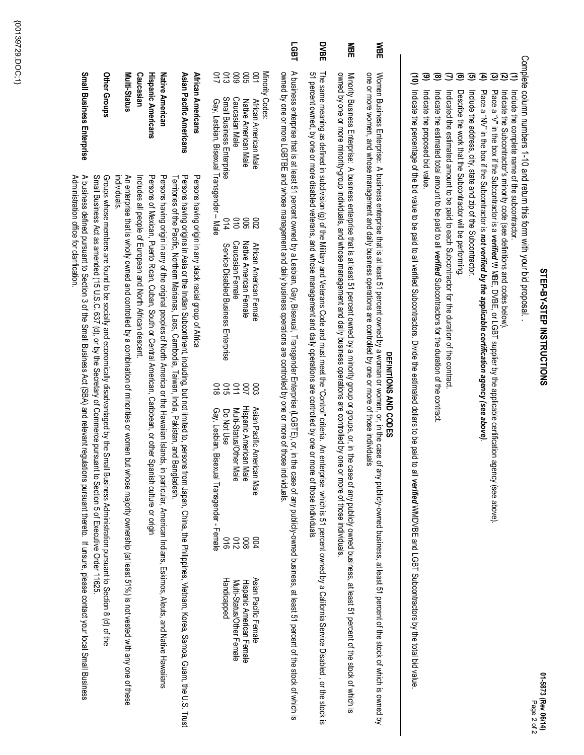| ï |
|---|
|   |
|   |
|   |
|   |
| í |
|   |
|   |
| Ï |
|   |
|   |
|   |
|   |
|   |
|   |
|   |
|   |
|   |
|   |
|   |
|   |
|   |
|   |
|   |
| í |
|   |

 $\mathbf{a}$ 

Complete column numbers 1-10 and return this form with your bid proposal Complete column numbers 1-10 and return this form with your bid proposal. .

- Include the complete name of the subcontractor Include the complete name of the subcontractor.
- **(1) (2) (3) (4) (5) (6) (7) (8) (9)** Indicate the Subcontractor's minority code (see definitions and codes below) Indicate the Subcontractor's minority code (see definitions and codes below).
	- Place a "V" in the box if the Subcontractor is a Place a "*v*" in the bus if the Subcontractor is a verified W MBE, DVBE, or LGBT supplier by the applicable certification agency (see above) W MBE, DVBE, or LGBT supplier by the applicable certification agency (see above).
	- Place a "NV" in the box if the Subcontractor is **not verified by the applicable certification agency (see above)** Place a "NV" in the box if the Subcontractor is *not verified by the applicable certification agency (see above)*
	- Include the address, city, state and zip of the Subcontractor. Include the address, city, state and zip of the Subcontractor.
	- Describe the work that the Subcontractor will be performing. Describe the work that the Subcontractor will be performing.
	- Indicated the estimated amount to be paid to each Subcontractor for the duration of the contract Indicated the estimated amount to be paid to each Subcontractor for the duration of the contract.
	- Indicate the estimated total amount to be paid to all Indicate the estimated total amount to be paid to all verified Subcontractors for the duration of the contrad Subcontractors for the duration of the contract.
- Indicate the proposed bid value Indicate the proposed bid value.
- **(10)** Indicate the percentage of the bid value to be paid to all verified Subcontractors. Divide the estimated dollars to be paid to all Indicate the percentage of the bid value to be paid to all verified Subcontractors. Divide the estimated dollars to be paid to all verified WMDVBE and LGBT Subcontractors by the total bid value WMDVBE and LGBT Subcontractors by the total bid value.

# DEFINITIONS AND CODES **DEFINITIONS AND CODES**

- **WBE** one or more women, and whose management and daily business operations are controlled by one or more of those individuals Women Business Enterprise: A business enterprise that is at least 51 percent owned by a woman or women, or, in the case of any publicly-owned business, at least 51 percent of twhich is owned by one or more women, and whose management and daily business operations are controlled by one or more Women Business Enterprises enterprise that is at least 51 percent owned by a woman or woman or woman or woman or women, or, in the case of any publicly-owned business, at least 51 percent of the stock of which is owned by of those individuals
- **MBE** owned by one or more minority-group individuals, and whose management and daily business operations are controlled by one or more of those individuals Minority Business Enterprises on terprise that is at least 51 percent owned by a minority group or groups, or, in the case of any publicly owned business, at least 51 percent of the stock of which is owned by one or more minority-group individuals, and whose management and daily business operations are controlled by one or more of those individuals. Minority Business Enterprises enterprises that is at least is at least 51 percent owned bublicly group or group or groups, or the case of any publicly owned bublicly owned bublicly owned bublicly are the stock of any publi
- **DVBE** 51 percent owned, by one or more disabled veterans, and whose management and daily operations are controlled by one or more of those individuals The same meaning as defined in subdivision (g) of the Military and Military and Wilitary and must meet the "Control" criteria. An enterprise which is 51 percent owned by a California Service Disabled, or the stock is The same meaning as defined in subdivision (g) of the Military and Veterans Code and must meet the "Control" criteria. An en51 percent owned, by one or more disabled veterans, and whose management and daily operations are controlled by one or more of those individuals terprise which is 51 percent owned by a California Service Disabled , or the stock is
- **LGBT** A business enterprise that 51 percent owned by a Lesbian, Gay, Bisexual, Transgender Enterprise (LGBTE), or, in the case of any publicly-owned business, at least 51 percent of the stock of which is owned by one or more LGBTBE and whose management and daily business operations are controlled by one or more of those individuals A business enterprise that is at least 51 percent owned by a Lesbian, Gay, Bisexual, Transgender Enterprise (LGBTE), or, in the case of any publicly-owned business, at least 51 percent of the stock of which is owned by one or more LGBTBE and whose management and daily business operations are controlled by one or more of those individuals.

Minority Codes:

- **African American Male** Native American Male Native American Male African American Male  $388$ 002 African American Female African American Femal
	- 006 Native American Female Native American Female
- Caucasian Male Caucasian Male 010 Caucasian Female Caucasian Female

3888

- Small Business Enterprise Small Business Enterprise 014 Service Disabled Business Enterprise Gay, Lesbian, Bisexual Transgender 014 Service Disabled Business Enterprise
- Gay, Lesbian, Bisexual Transgender Male Male 018
- 015 Do Not Use Multi-Status/Other Male Do Not Use

2 D<br>2 D

Hispanic American Male

Hispanic American Male

Multi-Status/Other Male

003 Asian Pacific American Male 004

Asian Pacific American Male

Multi-Status/Other Female Hispanic American Female Multi-Status/Other Female Hispanic American Female

Asian Pacific Female

Asian Pacific Female

- <u>ດ</u><br>ອ 50<br>20<br>21 Handicapped Handicapped
- Gay, Lesbian, Bisexual Transgender Gay, Lesbian, Bisexual Transgender - Female
- **African Americans** African Americans Persons having origin in any black racial group of Africa Persons having origin in any black racial group of Africa
- **Asian Pacific Americans** Asian Pacific Americans Territories of the Pacific, Notthern Marianas, Laos, Cambodia, Taiwan, India, Pakistan, and Bangladesh Persons having origins in Asia or the Indian Subcontinent, induding, but not limited to, persons from Japan, China, the Philippines, Vietnam, Korea, Samoa, Guam, the U.S. Trust Territories of the Pacific, Northern Marianas, Laos, Cambodia, Taiwan, India, Pakistan, and Bangladesh. Persons having origins in Asia or the Indian Subcontinent, including, but not limited to, persons from Japan, China, the Philippines, Vietnam, Korea, Samoa, Guam, the U.S. Trust
- **Hispanic Americans** Native American **Native American** Persons of Mexican, Puerto Rican, Cuban, South or Central American, Caribbean, or other Spanish culture or origin Persons having origin in any of the original peoples of North America or the Hawaiian Islands, in particular, American Indians, Eskimos, Aleuts, and Native Hawaiians Persons of Mexican, Puerto Rican, Cuban, South or Central American, Caribbean, or other Spanish culture Persons having origin in any of the original peoples of North America or the Hawaiian Islands, in particular, American Indians, Eskimos, Aleuts, and Native Hawaiians
- Caucasian **Hispanic Americans Caucasian** Includes all people of European and North African descent Includes all people of European and North African descent.
- Multi-Status **Multi-Status** An enterprise that is wholly owned and controlled by a combination of minorities or women but whose majority ownership (at least 51%) is not vested with any one of these ndividuals individuals. An enterprise that is wholly owned and controlled by a combination of minorities or women but whose majority ownership (at least 51%) is not vested with any one of
- Other Groups **Other Groups** Groups whose members are found to be socially and economically disadvantaged by the Small Business Administration pursuant to Section 8 (d) of the<br>Small Business Act as amended (15 U.S.C. 637 (d), or by the Secretary of Co Small Business Act as amended (15 U.S.C. 637 (d), or by the Secretary of Commerce pursuant to Section 5 of Executive Order 11625. Groups whose members are found to be socially and economically disadvantaged by the Small Business Administration pursuant to Section 8 (d) of the
- **Small Business Enterprise Small Business Enterprise** A business defined pursuant to Section 3 of the Small Business Act (SBA) and relevant regulations pursuant thereto. If unsure, please contact your local Small Business Administration office for clarification Administration office for clarification.A business defined pursuant to Section 3 of the Small Business Act (SBA) and relevant regulations pursuant thereto. If unsure, please contact your local Small Business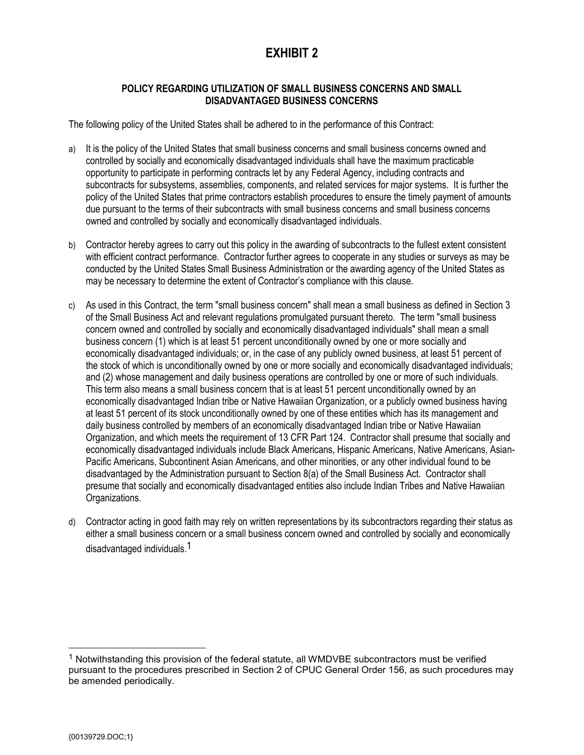### **POLICY REGARDING UTILIZATION OF SMALL BUSINESS CONCERNS AND SMALL DISADVANTAGED BUSINESS CONCERNS**

The following policy of the United States shall be adhered to in the performance of this Contract:

- a) It is the policy of the United States that small business concerns and small business concerns owned and controlled by socially and economically disadvantaged individuals shall have the maximum practicable opportunity to participate in performing contracts let by any Federal Agency, including contracts and subcontracts for subsystems, assemblies, components, and related services for major systems. It is further the policy of the United States that prime contractors establish procedures to ensure the timely payment of amounts due pursuant to the terms of their subcontracts with small business concerns and small business concerns owned and controlled by socially and economically disadvantaged individuals.
- b) Contractor hereby agrees to carry out this policy in the awarding of subcontracts to the fullest extent consistent with efficient contract performance. Contractor further agrees to cooperate in any studies or surveys as may be conducted by the United States Small Business Administration or the awarding agency of the United States as may be necessary to determine the extent of Contractor's compliance with this clause.
- c) As used in this Contract, the term "small business concern" shall mean a small business as defined in Section 3 of the Small Business Act and relevant regulations promulgated pursuant thereto. The term "small business concern owned and controlled by socially and economically disadvantaged individuals" shall mean a small business concern (1) which is at least 51 percent unconditionally owned by one or more socially and economically disadvantaged individuals; or, in the case of any publicly owned business, at least 51 percent of the stock of which is unconditionally owned by one or more socially and economically disadvantaged individuals; and (2) whose management and daily business operations are controlled by one or more of such individuals. This term also means a small business concern that is at least 51 percent unconditionally owned by an economically disadvantaged Indian tribe or Native Hawaiian Organization, or a publicly owned business having at least 51 percent of its stock unconditionally owned by one of these entities which has its management and daily business controlled by members of an economically disadvantaged Indian tribe or Native Hawaiian Organization, and which meets the requirement of 13 CFR Part 124. Contractor shall presume that socially and economically disadvantaged individuals include Black Americans, Hispanic Americans, Native Americans, Asian-Pacific Americans, Subcontinent Asian Americans, and other minorities, or any other individual found to be disadvantaged by the Administration pursuant to Section 8(a) of the Small Business Act. Contractor shall presume that socially and economically disadvantaged entities also include Indian Tribes and Native Hawaiian Organizations.
- d) Contractor acting in good faith may rely on written representations by its subcontractors regarding their status as either a small business concern or a small business concern owned and controlled by socially and economically disadvantaged individuals.1

<sup>&</sup>lt;sup>1</sup> Notwithstanding this provision of the federal statute, all WMDVBE subcontractors must be verified pursuant to the procedures prescribed in Section 2 of CPUC General Order 156, as such procedures may be amended periodically.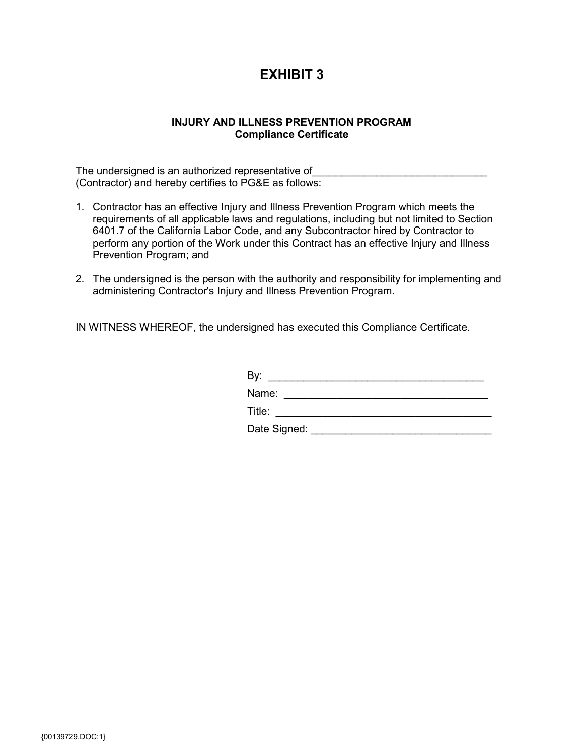### **INJURY AND ILLNESS PREVENTION PROGRAM Compliance Certificate**

The undersigned is an authorized representative of (Contractor) and hereby certifies to PG&E as follows:

- 1. Contractor has an effective Injury and Illness Prevention Program which meets the requirements of all applicable laws and regulations, including but not limited to Section 6401.7 of the California Labor Code, and any Subcontractor hired by Contractor to perform any portion of the Work under this Contract has an effective Injury and Illness Prevention Program; and
- 2. The undersigned is the person with the authority and responsibility for implementing and administering Contractor's Injury and Illness Prevention Program.

IN WITNESS WHEREOF, the undersigned has executed this Compliance Certificate.

| By:          |  |
|--------------|--|
| Name:        |  |
| Title:       |  |
| Date Signed: |  |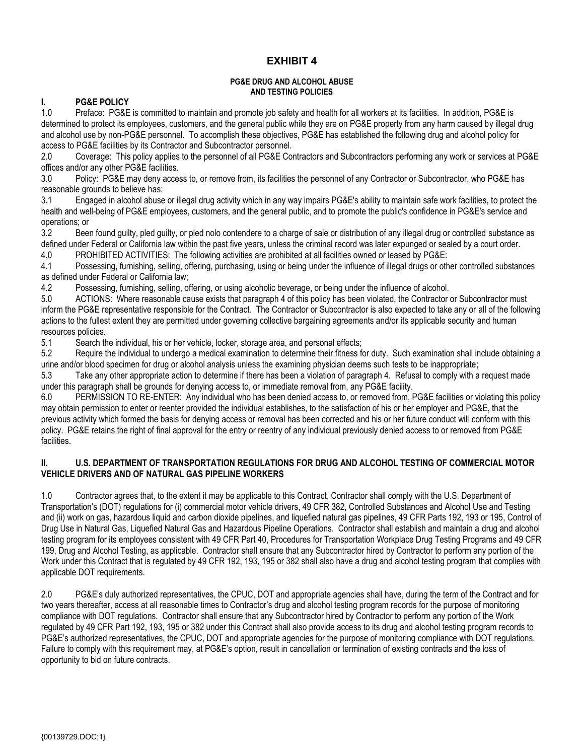### **PG&E DRUG AND ALCOHOL ABUSE AND TESTING POLICIES**

# **I. PG&E POLICY**

Preface: PG&E is committed to maintain and promote job safety and health for all workers at its facilities. In addition, PG&E is determined to protect its employees, customers, and the general public while they are on PG&E property from any harm caused by illegal drug and alcohol use by non-PG&E personnel. To accomplish these objectives, PG&E has established the following drug and alcohol policy for access to PG&E facilities by its Contractor and Subcontractor personnel.

2.0 Coverage: This policy applies to the personnel of all PG&E Contractors and Subcontractors performing any work or services at PG&E offices and/or any other PG&E facilities.

3.0 Policy: PG&E may deny access to, or remove from, its facilities the personnel of any Contractor or Subcontractor, who PG&E has reasonable grounds to believe has:

3.1 Engaged in alcohol abuse or illegal drug activity which in any way impairs PG&E's ability to maintain safe work facilities, to protect the health and well-being of PG&E employees, customers, and the general public, and to promote the public's confidence in PG&E's service and operations; or

3.2 Been found guilty, pled guilty, or pled nolo contendere to a charge of sale or distribution of any illegal drug or controlled substance as defined under Federal or California law within the past five years, unless the criminal record was later expunged or sealed by a court order.

4.0 PROHIBITED ACTIVITIES: The following activities are prohibited at all facilities owned or leased by PG&E:

4.1 Possessing, furnishing, selling, offering, purchasing, using or being under the influence of illegal drugs or other controlled substances as defined under Federal or California law;

4.2 Possessing, furnishing, selling, offering, or using alcoholic beverage, or being under the influence of alcohol.

5.0 ACTIONS: Where reasonable cause exists that paragraph 4 of this policy has been violated, the Contractor or Subcontractor must inform the PG&E representative responsible for the Contract. The Contractor or Subcontractor is also expected to take any or all of the following actions to the fullest extent they are permitted under governing collective bargaining agreements and/or its applicable security and human resources policies.

5.1 Search the individual, his or her vehicle, locker, storage area, and personal effects;

5.2 Require the individual to undergo a medical examination to determine their fitness for duty. Such examination shall include obtaining a urine and/or blood specimen for drug or alcohol analysis unless the examining physician deems such tests to be inappropriate;

5.3 Take any other appropriate action to determine if there has been a violation of paragraph 4. Refusal to comply with a request made under this paragraph shall be grounds for denying access to, or immediate removal from, any PG&E facility.

6.0 PERMISSION TO RE-ENTER: Any individual who has been denied access to, or removed from, PG&E facilities or violating this policy may obtain permission to enter or reenter provided the individual establishes, to the satisfaction of his or her employer and PG&E, that the previous activity which formed the basis for denying access or removal has been corrected and his or her future conduct will conform with this policy. PG&E retains the right of final approval for the entry or reentry of any individual previously denied access to or removed from PG&E facilities.

### **II. U.S. DEPARTMENT OF TRANSPORTATION REGULATIONS FOR DRUG AND ALCOHOL TESTING OF COMMERCIAL MOTOR VEHICLE DRIVERS AND OF NATURAL GAS PIPELINE WORKERS**

1.0 Contractor agrees that, to the extent it may be applicable to this Contract, Contractor shall comply with the U.S. Department of Transportation's (DOT) regulations for (i) commercial motor vehicle drivers, 49 CFR 382, Controlled Substances and Alcohol Use and Testing and (ii) work on gas, hazardous liquid and carbon dioxide pipelines, and liquefied natural gas pipelines, 49 CFR Parts 192, 193 or 195, Control of Drug Use in Natural Gas, Liquefied Natural Gas and Hazardous Pipeline Operations. Contractor shall establish and maintain a drug and alcohol testing program for its employees consistent with 49 CFR Part 40, Procedures for Transportation Workplace Drug Testing Programs and 49 CFR 199, Drug and Alcohol Testing, as applicable. Contractor shall ensure that any Subcontractor hired by Contractor to perform any portion of the Work under this Contract that is regulated by 49 CFR 192, 193, 195 or 382 shall also have a drug and alcohol testing program that complies with applicable DOT requirements.

2.0 PG&E's duly authorized representatives, the CPUC, DOT and appropriate agencies shall have, during the term of the Contract and for two years thereafter, access at all reasonable times to Contractor's drug and alcohol testing program records for the purpose of monitoring compliance with DOT regulations. Contractor shall ensure that any Subcontractor hired by Contractor to perform any portion of the Work regulated by 49 CFR Part 192, 193, 195 or 382 under this Contract shall also provide access to its drug and alcohol testing program records to PG&E's authorized representatives, the CPUC, DOT and appropriate agencies for the purpose of monitoring compliance with DOT regulations. Failure to comply with this requirement may, at PG&E's option, result in cancellation or termination of existing contracts and the loss of opportunity to bid on future contracts.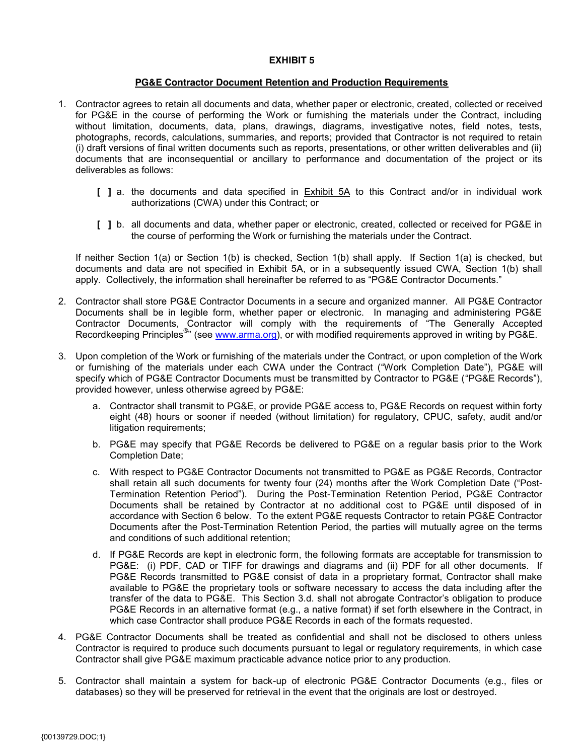### **PG&E Contractor Document Retention and Production Requirements**

- 1. Contractor agrees to retain all documents and data, whether paper or electronic, created, collected or received for PG&E in the course of performing the Work or furnishing the materials under the Contract, including without limitation, documents, data, plans, drawings, diagrams, investigative notes, field notes, tests, photographs, records, calculations, summaries, and reports; provided that Contractor is not required to retain (i) draft versions of final written documents such as reports, presentations, or other written deliverables and (ii) documents that are inconsequential or ancillary to performance and documentation of the project or its deliverables as follows:
	- [ ] a. the documents and data specified in **Exhibit 5A** to this Contract and/or in individual work authorizations (CWA) under this Contract; or
	- **[ ]** b. all documents and data, whether paper or electronic, created, collected or received for PG&E in the course of performing the Work or furnishing the materials under the Contract.

If neither Section 1(a) or Section 1(b) is checked, Section 1(b) shall apply. If Section 1(a) is checked, but documents and data are not specified in Exhibit 5A, or in a subsequently issued CWA, Section 1(b) shall apply. Collectively, the information shall hereinafter be referred to as "PG&E Contractor Documents."

- 2. Contractor shall store PG&E Contractor Documents in a secure and organized manner. All PG&E Contractor Documents shall be in legible form, whether paper or electronic. In managing and administering PG&E Contractor Documents, Contractor will comply with the requirements of "The Generally Accepted Recordkeeping Principles<sup>®</sup>" (see www.arma.org), or with modified requirements approved in writing by PG&E.
- 3. Upon completion of the Work or furnishing of the materials under the Contract, or upon completion of the Work or furnishing of the materials under each CWA under the Contract ("Work Completion Date"), PG&E will specify which of PG&E Contractor Documents must be transmitted by Contractor to PG&E ("PG&E Records"), provided however, unless otherwise agreed by PG&E:
	- a. Contractor shall transmit to PG&E, or provide PG&E access to, PG&E Records on request within forty eight (48) hours or sooner if needed (without limitation) for regulatory, CPUC, safety, audit and/or litigation requirements;
	- b. PG&E may specify that PG&E Records be delivered to PG&E on a regular basis prior to the Work Completion Date;
	- c. With respect to PG&E Contractor Documents not transmitted to PG&E as PG&E Records, Contractor shall retain all such documents for twenty four (24) months after the Work Completion Date ("Post-Termination Retention Period"). During the Post-Termination Retention Period, PG&E Contractor Documents shall be retained by Contractor at no additional cost to PG&E until disposed of in accordance with Section 6 below. To the extent PG&E requests Contractor to retain PG&E Contractor Documents after the Post-Termination Retention Period, the parties will mutually agree on the terms and conditions of such additional retention;
	- d. If PG&E Records are kept in electronic form, the following formats are acceptable for transmission to PG&E: (i) PDF, CAD or TIFF for drawings and diagrams and (ii) PDF for all other documents. If PG&E Records transmitted to PG&E consist of data in a proprietary format, Contractor shall make available to PG&E the proprietary tools or software necessary to access the data including after the transfer of the data to PG&E. This Section 3.d. shall not abrogate Contractor's obligation to produce PG&E Records in an alternative format (e.g., a native format) if set forth elsewhere in the Contract, in which case Contractor shall produce PG&E Records in each of the formats requested.
- 4. PG&E Contractor Documents shall be treated as confidential and shall not be disclosed to others unless Contractor is required to produce such documents pursuant to legal or regulatory requirements, in which case Contractor shall give PG&E maximum practicable advance notice prior to any production.
- 5. Contractor shall maintain a system for back-up of electronic PG&E Contractor Documents (e.g., files or databases) so they will be preserved for retrieval in the event that the originals are lost or destroyed.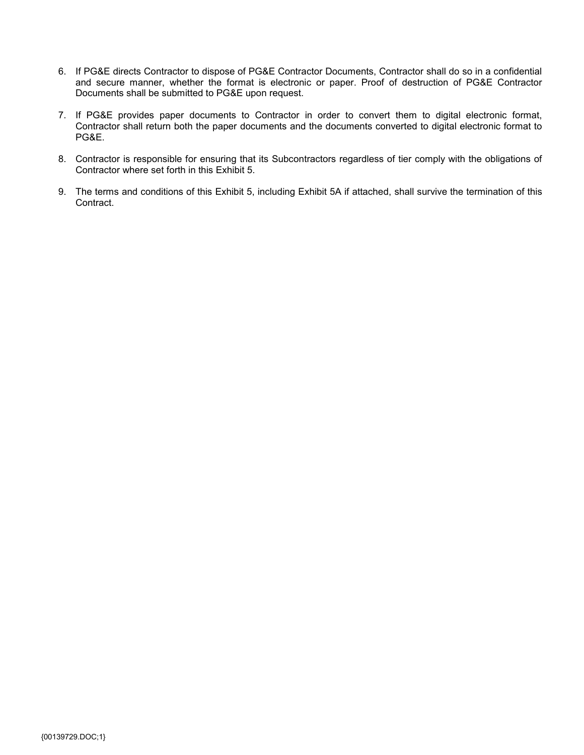- 6. If PG&E directs Contractor to dispose of PG&E Contractor Documents, Contractor shall do so in a confidential and secure manner, whether the format is electronic or paper. Proof of destruction of PG&E Contractor Documents shall be submitted to PG&E upon request.
- 7. If PG&E provides paper documents to Contractor in order to convert them to digital electronic format, Contractor shall return both the paper documents and the documents converted to digital electronic format to PG&E.
- 8. Contractor is responsible for ensuring that its Subcontractors regardless of tier comply with the obligations of Contractor where set forth in this Exhibit 5.
- 9. The terms and conditions of this Exhibit 5, including Exhibit 5A if attached, shall survive the termination of this Contract.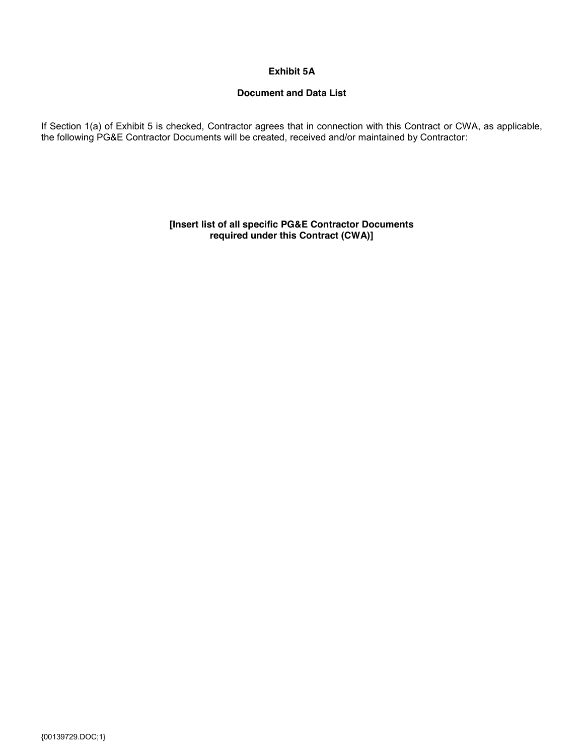### **Exhibit 5A**

### **Document and Data List**

If Section 1(a) of Exhibit 5 is checked, Contractor agrees that in connection with this Contract or CWA, as applicable, the following PG&E Contractor Documents will be created, received and/or maintained by Contractor:

> **[Insert list of all specific PG&E Contractor Documents required under this Contract (CWA)]**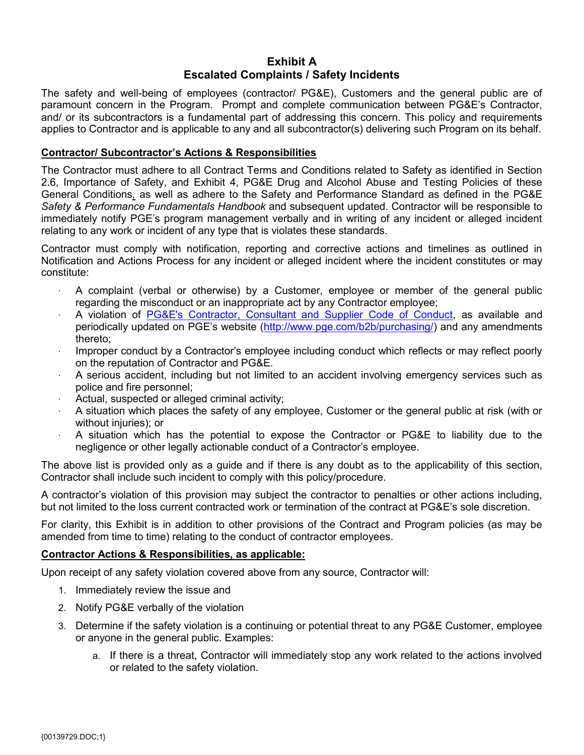### **Exhibit A Escalated Complaints / Safety Incidents**

The safety and well-being of employees (contractor/ PG&E), Customers and the general public are of paramount concern in the Program. Prompt and complete communication between PG&E's Contractor, and/ or its subcontractors is a fundamental part of addressing this concern. This policy and requirements applies to Contractor and is applicable to any and all subcontractor(s) delivering such Program on its behalf.

### **Contractor/ Subcontractor's Actions & Responsibilities**

The Contractor must adhere to all Contract Terms and Conditions related to Safety as identified in Section 2.6, Importance of Safety, and Exhibit 4, PG&E Drug and Alcohol Abuse and Testing Policies of these General Conditions*,* as well as adhere to the Safety and Performance Standard as defined in the PG&E *Safety & Performance Fundamentals Handbook* and subsequent updated. Contractor will be responsible to immediately notify PGE's program management verbally and in writing of any incident or alleged incident relating to any work or incident of any type that is violates these standards.

Contractor must comply with notification, reporting and corrective actions and timelines as outlined in Notification and Actions Process for any incident or alleged incident where the incident constitutes or may constitute:

- · A complaint (verbal or otherwise) by a Customer, employee or member of the general public regarding the misconduct or an inappropriate act by any Contractor employee;
- · A violation of PG&E's Contractor, Consultant and Supplier Code of Conduct, as available and periodically updated on PGE's website (http://www.pge.com/b2b/purchasing/) and any amendments thereto;
- Improper conduct by a Contractor's employee including conduct which reflects or may reflect poorly on the reputation of Contractor and PG&E.
- · A serious accident, including but not limited to an accident involving emergency services such as police and fire personnel;
- · Actual, suspected or alleged criminal activity;
- · A situation which places the safety of any employee, Customer or the general public at risk (with or without injuries); or
- · A situation which has the potential to expose the Contractor or PG&E to liability due to the negligence or other legally actionable conduct of a Contractor's employee.

The above list is provided only as a guide and if there is any doubt as to the applicability of this section, Contractor shall include such incident to comply with this policy/procedure.

A contractor's violation of this provision may subject the contractor to penalties or other actions including, but not limited to the loss current contracted work or termination of the contract at PG&E's sole discretion.

For clarity, this Exhibit is in addition to other provisions of the Contract and Program policies (as may be amended from time to time) relating to the conduct of contractor employees.

### **Contractor Actions & Responsibilities, as applicable:**

Upon receipt of any safety violation covered above from any source, Contractor will:

- 1. Immediately review the issue and
- 2. Notify PG&E verbally of the violation
- 3. Determine if the safety violation is a continuing or potential threat to any PG&E Customer, employee or anyone in the general public. Examples:
	- a. If there is a threat, Contractor will immediately stop any work related to the actions involved or related to the safety violation.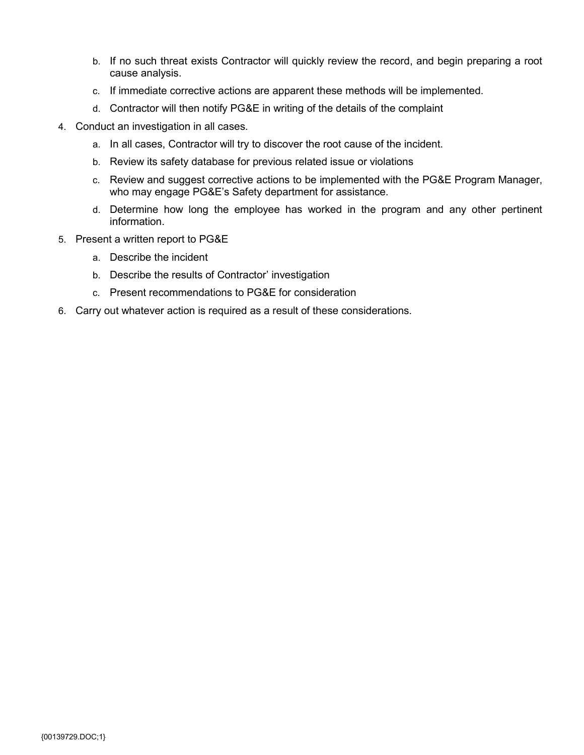- b. If no such threat exists Contractor will quickly review the record, and begin preparing a root cause analysis.
- c. If immediate corrective actions are apparent these methods will be implemented.
- d. Contractor will then notify PG&E in writing of the details of the complaint
- 4. Conduct an investigation in all cases.
	- a. In all cases, Contractor will try to discover the root cause of the incident.
	- b. Review its safety database for previous related issue or violations
	- c. Review and suggest corrective actions to be implemented with the PG&E Program Manager, who may engage PG&E's Safety department for assistance.
	- d. Determine how long the employee has worked in the program and any other pertinent information.
- 5. Present a written report to PG&E
	- a. Describe the incident
	- b. Describe the results of Contractor' investigation
	- c. Present recommendations to PG&E for consideration
- 6. Carry out whatever action is required as a result of these considerations.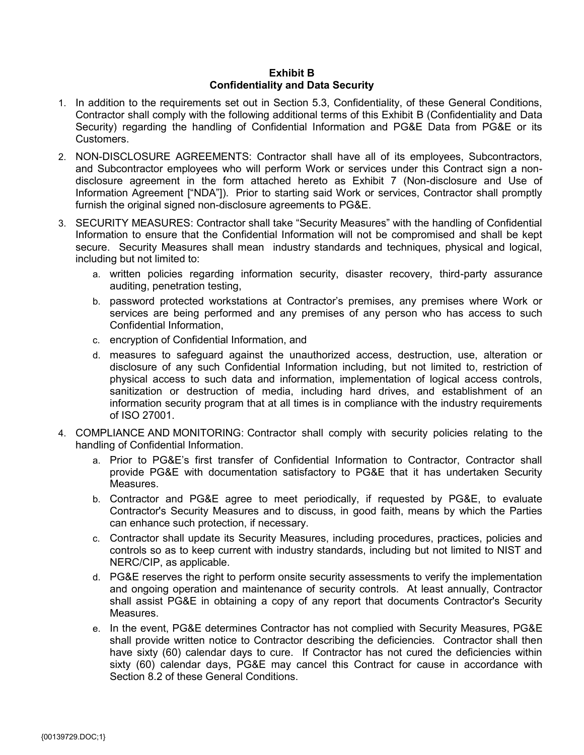### **Exhibit B Confidentiality and Data Security**

- 1. In addition to the requirements set out in Section 5.3, Confidentiality, of these General Conditions, Contractor shall comply with the following additional terms of this Exhibit B (Confidentiality and Data Security) regarding the handling of Confidential Information and PG&E Data from PG&E or its Customers.
- 2. NON-DISCLOSURE AGREEMENTS: Contractor shall have all of its employees, Subcontractors, and Subcontractor employees who will perform Work or services under this Contract sign a nondisclosure agreement in the form attached hereto as Exhibit 7 (Non-disclosure and Use of Information Agreement ["NDA"]). Prior to starting said Work or services, Contractor shall promptly furnish the original signed non-disclosure agreements to PG&E.
- 3. SECURITY MEASURES: Contractor shall take "Security Measures" with the handling of Confidential Information to ensure that the Confidential Information will not be compromised and shall be kept secure. Security Measures shall mean industry standards and techniques, physical and logical, including but not limited to:
	- a. written policies regarding information security, disaster recovery, third-party assurance auditing, penetration testing,
	- b. password protected workstations at Contractor's premises, any premises where Work or services are being performed and any premises of any person who has access to such Confidential Information,
	- c. encryption of Confidential Information, and
	- d. measures to safeguard against the unauthorized access, destruction, use, alteration or disclosure of any such Confidential Information including, but not limited to, restriction of physical access to such data and information, implementation of logical access controls, sanitization or destruction of media, including hard drives, and establishment of an information security program that at all times is in compliance with the industry requirements of ISO 27001.
- 4. COMPLIANCE AND MONITORING: Contractor shall comply with security policies relating to the handling of Confidential Information.
	- a. Prior to PG&E's first transfer of Confidential Information to Contractor, Contractor shall provide PG&E with documentation satisfactory to PG&E that it has undertaken Security Measures.
	- b. Contractor and PG&E agree to meet periodically, if requested by PG&E, to evaluate Contractor's Security Measures and to discuss, in good faith, means by which the Parties can enhance such protection, if necessary.
	- c. Contractor shall update its Security Measures, including procedures, practices, policies and controls so as to keep current with industry standards, including but not limited to NIST and NERC/CIP, as applicable.
	- d. PG&E reserves the right to perform onsite security assessments to verify the implementation and ongoing operation and maintenance of security controls. At least annually, Contractor shall assist PG&E in obtaining a copy of any report that documents Contractor's Security Measures.
	- e. In the event, PG&E determines Contractor has not complied with Security Measures, PG&E shall provide written notice to Contractor describing the deficiencies. Contractor shall then have sixty (60) calendar days to cure. If Contractor has not cured the deficiencies within sixty (60) calendar days, PG&E may cancel this Contract for cause in accordance with Section 8.2 of these General Conditions.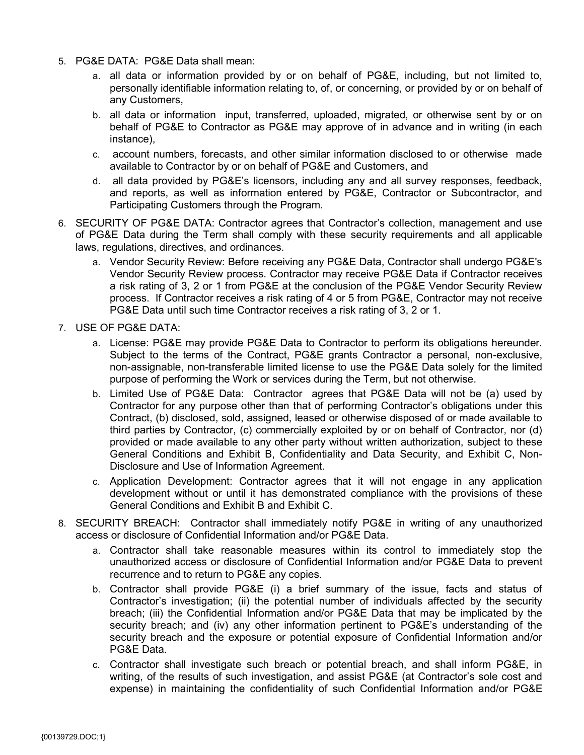- 5. PG&E DATA: PG&E Data shall mean:
	- a. all data or information provided by or on behalf of PG&E, including, but not limited to, personally identifiable information relating to, of, or concerning, or provided by or on behalf of any Customers,
	- b. all data or information input, transferred, uploaded, migrated, or otherwise sent by or on behalf of PG&E to Contractor as PG&E may approve of in advance and in writing (in each instance),
	- c. account numbers, forecasts, and other similar information disclosed to or otherwise made available to Contractor by or on behalf of PG&E and Customers, and
	- d. all data provided by PG&E's licensors, including any and all survey responses, feedback, and reports, as well as information entered by PG&E, Contractor or Subcontractor, and Participating Customers through the Program.
- 6. SECURITY OF PG&E DATA: Contractor agrees that Contractor's collection, management and use of PG&E Data during the Term shall comply with these security requirements and all applicable laws, regulations, directives, and ordinances.
	- a. Vendor Security Review: Before receiving any PG&E Data, Contractor shall undergo PG&E's Vendor Security Review process. Contractor may receive PG&E Data if Contractor receives a risk rating of 3, 2 or 1 from PG&E at the conclusion of the PG&E Vendor Security Review process. If Contractor receives a risk rating of 4 or 5 from PG&E, Contractor may not receive PG&E Data until such time Contractor receives a risk rating of 3, 2 or 1.
- 7. USE OF PG&E DATA:
	- a. License: PG&E may provide PG&E Data to Contractor to perform its obligations hereunder. Subject to the terms of the Contract, PG&E grants Contractor a personal, non-exclusive, non-assignable, non-transferable limited license to use the PG&E Data solely for the limited purpose of performing the Work or services during the Term, but not otherwise.
	- b. Limited Use of PG&E Data: Contractor agrees that PG&E Data will not be (a) used by Contractor for any purpose other than that of performing Contractor's obligations under this Contract, (b) disclosed, sold, assigned, leased or otherwise disposed of or made available to third parties by Contractor, (c) commercially exploited by or on behalf of Contractor, nor (d) provided or made available to any other party without written authorization, subject to these General Conditions and Exhibit B, Confidentiality and Data Security, and Exhibit C, Non-Disclosure and Use of Information Agreement.
	- c. Application Development: Contractor agrees that it will not engage in any application development without or until it has demonstrated compliance with the provisions of these General Conditions and Exhibit B and Exhibit C.
- 8. SECURITY BREACH: Contractor shall immediately notify PG&E in writing of any unauthorized access or disclosure of Confidential Information and/or PG&E Data.
	- a. Contractor shall take reasonable measures within its control to immediately stop the unauthorized access or disclosure of Confidential Information and/or PG&E Data to prevent recurrence and to return to PG&E any copies.
	- b. Contractor shall provide PG&E (i) a brief summary of the issue, facts and status of Contractor's investigation; (ii) the potential number of individuals affected by the security breach; (iii) the Confidential Information and/or PG&E Data that may be implicated by the security breach; and (iv) any other information pertinent to PG&E's understanding of the security breach and the exposure or potential exposure of Confidential Information and/or PG&E Data.
	- c. Contractor shall investigate such breach or potential breach, and shall inform PG&E, in writing, of the results of such investigation, and assist PG&E (at Contractor's sole cost and expense) in maintaining the confidentiality of such Confidential Information and/or PG&E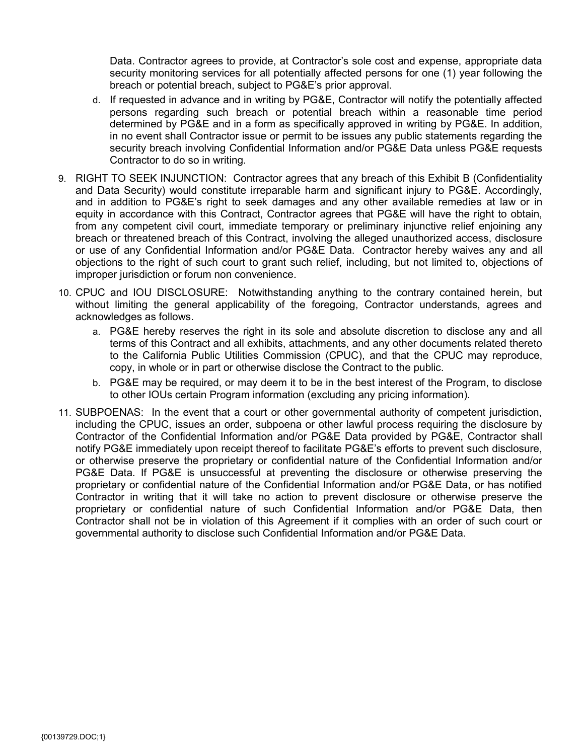Data. Contractor agrees to provide, at Contractor's sole cost and expense, appropriate data security monitoring services for all potentially affected persons for one (1) year following the breach or potential breach, subject to PG&E's prior approval.

- d. If requested in advance and in writing by PG&E, Contractor will notify the potentially affected persons regarding such breach or potential breach within a reasonable time period determined by PG&E and in a form as specifically approved in writing by PG&E. In addition, in no event shall Contractor issue or permit to be issues any public statements regarding the security breach involving Confidential Information and/or PG&E Data unless PG&E requests Contractor to do so in writing.
- 9. RIGHT TO SEEK INJUNCTION: Contractor agrees that any breach of this Exhibit B (Confidentiality and Data Security) would constitute irreparable harm and significant injury to PG&E. Accordingly, and in addition to PG&E's right to seek damages and any other available remedies at law or in equity in accordance with this Contract, Contractor agrees that PG&E will have the right to obtain, from any competent civil court, immediate temporary or preliminary injunctive relief enjoining any breach or threatened breach of this Contract, involving the alleged unauthorized access, disclosure or use of any Confidential Information and/or PG&E Data. Contractor hereby waives any and all objections to the right of such court to grant such relief, including, but not limited to, objections of improper jurisdiction or forum non convenience.
- 10. CPUC and IOU DISCLOSURE: Notwithstanding anything to the contrary contained herein, but without limiting the general applicability of the foregoing, Contractor understands, agrees and acknowledges as follows.
	- a. PG&E hereby reserves the right in its sole and absolute discretion to disclose any and all terms of this Contract and all exhibits, attachments, and any other documents related thereto to the California Public Utilities Commission (CPUC), and that the CPUC may reproduce, copy, in whole or in part or otherwise disclose the Contract to the public.
	- b. PG&E may be required, or may deem it to be in the best interest of the Program, to disclose to other IOUs certain Program information (excluding any pricing information).
- 11. SUBPOENAS: In the event that a court or other governmental authority of competent jurisdiction, including the CPUC, issues an order, subpoena or other lawful process requiring the disclosure by Contractor of the Confidential Information and/or PG&E Data provided by PG&E, Contractor shall notify PG&E immediately upon receipt thereof to facilitate PG&E's efforts to prevent such disclosure, or otherwise preserve the proprietary or confidential nature of the Confidential Information and/or PG&E Data. If PG&E is unsuccessful at preventing the disclosure or otherwise preserving the proprietary or confidential nature of the Confidential Information and/or PG&E Data, or has notified Contractor in writing that it will take no action to prevent disclosure or otherwise preserve the proprietary or confidential nature of such Confidential Information and/or PG&E Data, then Contractor shall not be in violation of this Agreement if it complies with an order of such court or governmental authority to disclose such Confidential Information and/or PG&E Data.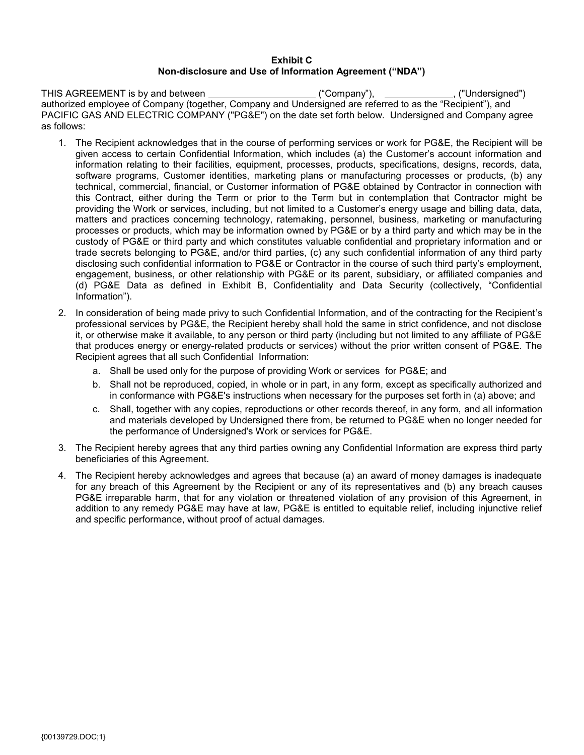### **Exhibit C Non-disclosure and Use of Information Agreement ("NDA")**

THIS AGREEMENT is by and between ("Company"), , ("Undersigned") authorized employee of Company (together, Company and Undersigned are referred to as the "Recipient"), and PACIFIC GAS AND ELECTRIC COMPANY ("PG&E") on the date set forth below. Undersigned and Company agree as follows:

- 1. The Recipient acknowledges that in the course of performing services or work for PG&E, the Recipient will be given access to certain Confidential Information, which includes (a) the Customer's account information and information relating to their facilities, equipment, processes, products, specifications, designs, records, data, software programs, Customer identities, marketing plans or manufacturing processes or products, (b) any technical, commercial, financial, or Customer information of PG&E obtained by Contractor in connection with this Contract, either during the Term or prior to the Term but in contemplation that Contractor might be providing the Work or services, including, but not limited to a Customer's energy usage and billing data, data, matters and practices concerning technology, ratemaking, personnel, business, marketing or manufacturing processes or products, which may be information owned by PG&E or by a third party and which may be in the custody of PG&E or third party and which constitutes valuable confidential and proprietary information and or trade secrets belonging to PG&E, and/or third parties, (c) any such confidential information of any third party disclosing such confidential information to PG&E or Contractor in the course of such third party's employment, engagement, business, or other relationship with PG&E or its parent, subsidiary, or affiliated companies and (d) PG&E Data as defined in Exhibit B, Confidentiality and Data Security (collectively, "Confidential Information").
- 2. In consideration of being made privy to such Confidential Information, and of the contracting for the Recipient's professional services by PG&E, the Recipient hereby shall hold the same in strict confidence, and not disclose it, or otherwise make it available, to any person or third party (including but not limited to any affiliate of PG&E that produces energy or energy-related products or services) without the prior written consent of PG&E. The Recipient agrees that all such Confidential Information:
	- a. Shall be used only for the purpose of providing Work or services for PG&E; and
	- b. Shall not be reproduced, copied, in whole or in part, in any form, except as specifically authorized and in conformance with PG&E's instructions when necessary for the purposes set forth in (a) above; and
	- c. Shall, together with any copies, reproductions or other records thereof, in any form, and all information and materials developed by Undersigned there from, be returned to PG&E when no longer needed for the performance of Undersigned's Work or services for PG&E.
- 3. The Recipient hereby agrees that any third parties owning any Confidential Information are express third party beneficiaries of this Agreement.
- 4. The Recipient hereby acknowledges and agrees that because (a) an award of money damages is inadequate for any breach of this Agreement by the Recipient or any of its representatives and (b) any breach causes PG&E irreparable harm, that for any violation or threatened violation of any provision of this Agreement, in addition to any remedy PG&E may have at law, PG&E is entitled to equitable relief, including injunctive relief and specific performance, without proof of actual damages.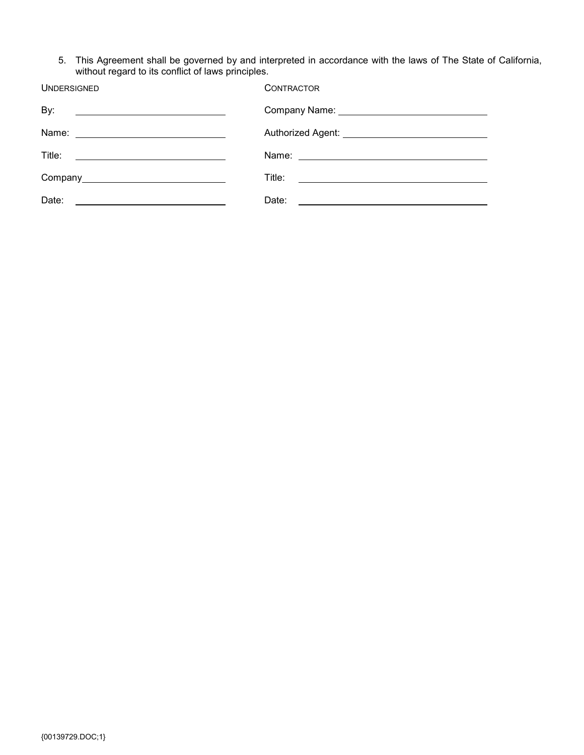5. This Agreement shall be governed by and interpreted in accordance with the laws of The State of California, without regard to its conflict of laws principles.

| <b>UNDERSIGNED</b>                                                                                                             | <b>CONTRACTOR</b> |
|--------------------------------------------------------------------------------------------------------------------------------|-------------------|
| By:<br><u> 1980 - Andrea Station, amerikansk politik (</u>                                                                     |                   |
|                                                                                                                                |                   |
|                                                                                                                                |                   |
|                                                                                                                                |                   |
| Date:<br><u> Alexandria (Carlo Carlo Carlo Carlo Carlo Carlo Carlo Carlo Carlo Carlo Carlo Carlo Carlo Carlo Carlo Carlo C</u> |                   |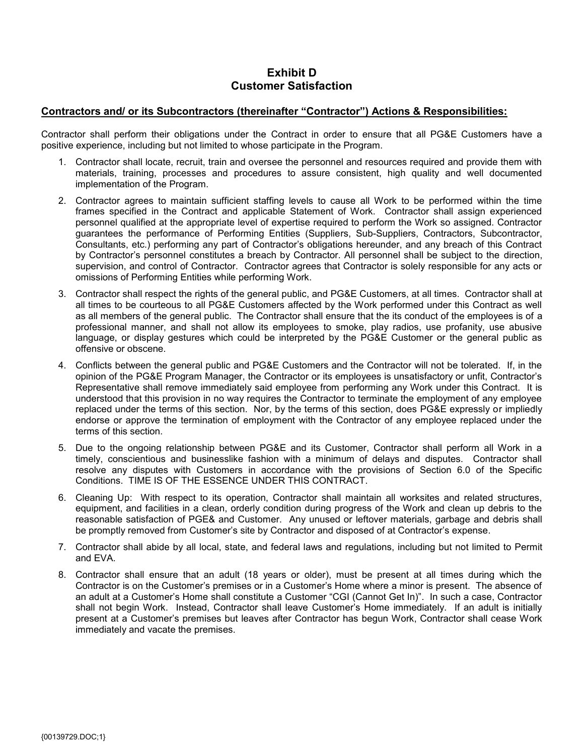### **Exhibit D Customer Satisfaction**

### **Contractors and/ or its Subcontractors (thereinafter "Contractor") Actions & Responsibilities:**

Contractor shall perform their obligations under the Contract in order to ensure that all PG&E Customers have a positive experience, including but not limited to whose participate in the Program.

- 1. Contractor shall locate, recruit, train and oversee the personnel and resources required and provide them with materials, training, processes and procedures to assure consistent, high quality and well documented implementation of the Program.
- 2. Contractor agrees to maintain sufficient staffing levels to cause all Work to be performed within the time frames specified in the Contract and applicable Statement of Work. Contractor shall assign experienced personnel qualified at the appropriate level of expertise required to perform the Work so assigned. Contractor guarantees the performance of Performing Entities (Suppliers, Sub-Suppliers, Contractors, Subcontractor, Consultants, etc.) performing any part of Contractor's obligations hereunder, and any breach of this Contract by Contractor's personnel constitutes a breach by Contractor. All personnel shall be subject to the direction, supervision, and control of Contractor. Contractor agrees that Contractor is solely responsible for any acts or omissions of Performing Entities while performing Work.
- 3. Contractor shall respect the rights of the general public, and PG&E Customers, at all times. Contractor shall at all times to be courteous to all PG&E Customers affected by the Work performed under this Contract as well as all members of the general public. The Contractor shall ensure that the its conduct of the employees is of a professional manner, and shall not allow its employees to smoke, play radios, use profanity, use abusive language, or display gestures which could be interpreted by the PG&E Customer or the general public as offensive or obscene.
- 4. Conflicts between the general public and PG&E Customers and the Contractor will not be tolerated. If, in the opinion of the PG&E Program Manager, the Contractor or its employees is unsatisfactory or unfit, Contractor's Representative shall remove immediately said employee from performing any Work under this Contract. It is understood that this provision in no way requires the Contractor to terminate the employment of any employee replaced under the terms of this section. Nor, by the terms of this section, does PG&E expressly or impliedly endorse or approve the termination of employment with the Contractor of any employee replaced under the terms of this section.
- 5. Due to the ongoing relationship between PG&E and its Customer, Contractor shall perform all Work in a timely, conscientious and businesslike fashion with a minimum of delays and disputes. Contractor shall resolve any disputes with Customers in accordance with the provisions of Section 6.0 of the Specific Conditions. TIME IS OF THE ESSENCE UNDER THIS CONTRACT.
- 6. Cleaning Up: With respect to its operation, Contractor shall maintain all worksites and related structures, equipment, and facilities in a clean, orderly condition during progress of the Work and clean up debris to the reasonable satisfaction of PGE& and Customer. Any unused or leftover materials, garbage and debris shall be promptly removed from Customer's site by Contractor and disposed of at Contractor's expense.
- 7. Contractor shall abide by all local, state, and federal laws and regulations, including but not limited to Permit and EVA.
- 8. Contractor shall ensure that an adult (18 years or older), must be present at all times during which the Contractor is on the Customer's premises or in a Customer's Home where a minor is present. The absence of an adult at a Customer's Home shall constitute a Customer "CGI (Cannot Get In)". In such a case, Contractor shall not begin Work. Instead, Contractor shall leave Customer's Home immediately. If an adult is initially present at a Customer's premises but leaves after Contractor has begun Work, Contractor shall cease Work immediately and vacate the premises.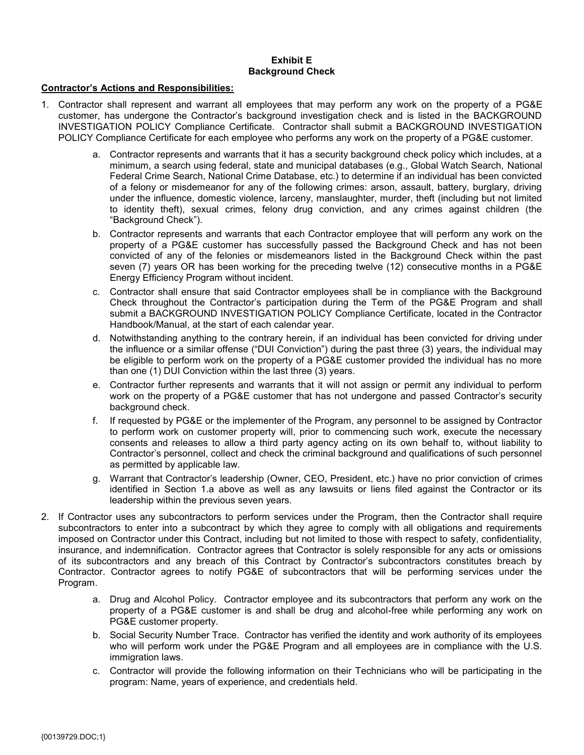### **Exhibit E Background Check**

### **Contractor's Actions and Responsibilities:**

- 1. Contractor shall represent and warrant all employees that may perform any work on the property of a PG&E customer, has undergone the Contractor's background investigation check and is listed in the BACKGROUND INVESTIGATION POLICY Compliance Certificate. Contractor shall submit a BACKGROUND INVESTIGATION POLICY Compliance Certificate for each employee who performs any work on the property of a PG&E customer.
	- a. Contractor represents and warrants that it has a security background check policy which includes, at a minimum, a search using federal, state and municipal databases (e.g., Global Watch Search, National Federal Crime Search, National Crime Database, etc.) to determine if an individual has been convicted of a felony or misdemeanor for any of the following crimes: arson, assault, battery, burglary, driving under the influence, domestic violence, larceny, manslaughter, murder, theft (including but not limited to identity theft), sexual crimes, felony drug conviction, and any crimes against children (the "Background Check").
	- b. Contractor represents and warrants that each Contractor employee that will perform any work on the property of a PG&E customer has successfully passed the Background Check and has not been convicted of any of the felonies or misdemeanors listed in the Background Check within the past seven (7) years OR has been working for the preceding twelve (12) consecutive months in a PG&E Energy Efficiency Program without incident.
	- c. Contractor shall ensure that said Contractor employees shall be in compliance with the Background Check throughout the Contractor's participation during the Term of the PG&E Program and shall submit a BACKGROUND INVESTIGATION POLICY Compliance Certificate, located in the Contractor Handbook/Manual, at the start of each calendar year.
	- d. Notwithstanding anything to the contrary herein, if an individual has been convicted for driving under the influence or a similar offense ("DUI Conviction") during the past three (3) years, the individual may be eligible to perform work on the property of a PG&E customer provided the individual has no more than one (1) DUI Conviction within the last three (3) years.
	- e. Contractor further represents and warrants that it will not assign or permit any individual to perform work on the property of a PG&E customer that has not undergone and passed Contractor's security background check.
	- f. If requested by PG&E or the implementer of the Program, any personnel to be assigned by Contractor to perform work on customer property will, prior to commencing such work, execute the necessary consents and releases to allow a third party agency acting on its own behalf to, without liability to Contractor's personnel, collect and check the criminal background and qualifications of such personnel as permitted by applicable law.
	- g. Warrant that Contractor's leadership (Owner, CEO, President, etc.) have no prior conviction of crimes identified in Section 1.a above as well as any lawsuits or liens filed against the Contractor or its leadership within the previous seven years.
- 2. If Contractor uses any subcontractors to perform services under the Program, then the Contractor shall require subcontractors to enter into a subcontract by which they agree to comply with all obligations and requirements imposed on Contractor under this Contract, including but not limited to those with respect to safety, confidentiality, insurance, and indemnification. Contractor agrees that Contractor is solely responsible for any acts or omissions of its subcontractors and any breach of this Contract by Contractor's subcontractors constitutes breach by Contractor. Contractor agrees to notify PG&E of subcontractors that will be performing services under the Program.
	- a. Drug and Alcohol Policy. Contractor employee and its subcontractors that perform any work on the property of a PG&E customer is and shall be drug and alcohol-free while performing any work on PG&E customer property.
	- b. Social Security Number Trace. Contractor has verified the identity and work authority of its employees who will perform work under the PG&E Program and all employees are in compliance with the U.S. immigration laws.
	- c. Contractor will provide the following information on their Technicians who will be participating in the program: Name, years of experience, and credentials held.